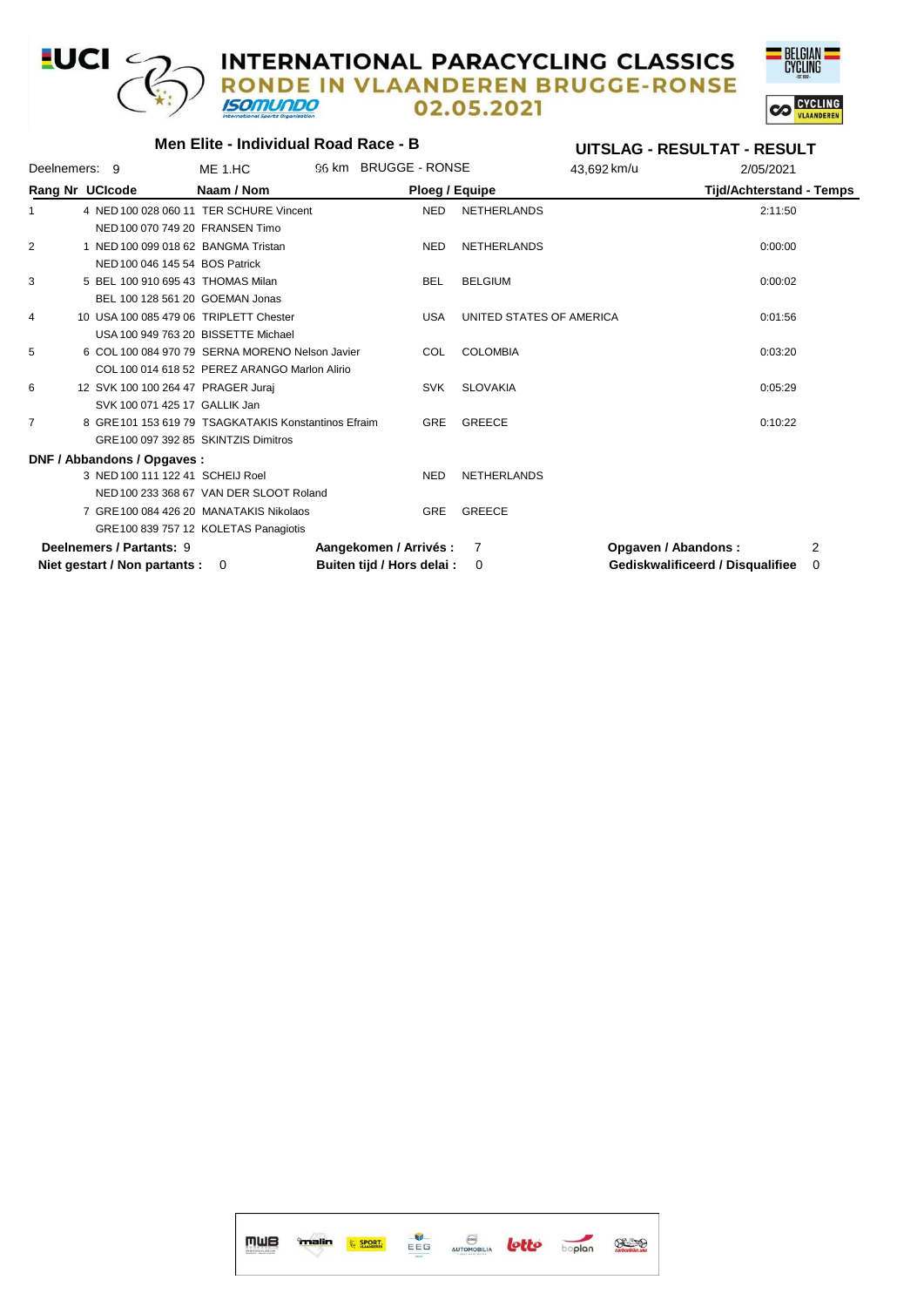#### **EUCI**  $\epsilon$ **INTERNATIONAL PARACYCLING CLASSICS** IN VLAANDEREN BRUGGE-RONSE **RONDE ISOMUNDO** 02.05.2021

**Men Elite - Individual Road Race - B**



| Deelnemers: 9   |                                    | ME 1.HC                                             | 96 km BRUGGE - RONSE       |                          | 43,692 km/u         | 2/05/2021                        |          |
|-----------------|------------------------------------|-----------------------------------------------------|----------------------------|--------------------------|---------------------|----------------------------------|----------|
| Rang Nr UCIcode |                                    | Naam / Nom                                          |                            | Ploeg / Equipe           |                     | <b>Tijd/Achterstand - Temps</b>  |          |
| $\mathbf{1}$    |                                    | 4 NED 100 028 060 11 TER SCHURE Vincent             | <b>NED</b>                 | <b>NETHERLANDS</b>       |                     | 2:11:50                          |          |
|                 | NED 100 070 749 20 FRANSEN Timo    |                                                     |                            |                          |                     |                                  |          |
| 2               |                                    | 1 NED 100 099 018 62 BANGMA Tristan                 | <b>NED</b>                 | <b>NETHERLANDS</b>       |                     | 0:00:00                          |          |
|                 | NED 100 046 145 54 BOS Patrick     |                                                     |                            |                          |                     |                                  |          |
| 3               | 5 BEL 100 910 695 43 THOMAS Milan  |                                                     | <b>BEL</b>                 | <b>BELGIUM</b>           |                     | 0:00:02                          |          |
|                 | BEL 100 128 561 20 GOEMAN Jonas    |                                                     |                            |                          |                     |                                  |          |
| 4               |                                    | 10 USA 100 085 479 06 TRIPLETT Chester              | USA                        | UNITED STATES OF AMERICA |                     | 0:01:56                          |          |
|                 |                                    | USA 100 949 763 20 BISSETTE Michael                 |                            |                          |                     |                                  |          |
| 5               |                                    | 6 COL 100 084 970 79 SERNA MORENO Nelson Javier     | <b>COL</b>                 | <b>COLOMBIA</b>          |                     | 0:03:20                          |          |
|                 |                                    | COL 100 014 618 52 PEREZ ARANGO Marlon Alirio       |                            |                          |                     |                                  |          |
| 6               | 12 SVK 100 100 264 47 PRAGER Juraj |                                                     | <b>SVK</b>                 | <b>SLOVAKIA</b>          |                     | 0:05:29                          |          |
|                 | SVK 100 071 425 17 GALLIK Jan      |                                                     |                            |                          |                     |                                  |          |
| 7               |                                    | 8 GRE101 153 619 79 TSAGKATAKIS Konstantinos Efraim | GRE                        | <b>GREECE</b>            |                     | 0:10:22                          |          |
|                 |                                    | GRE100 097 392 85 SKINTZIS Dimitros                 |                            |                          |                     |                                  |          |
|                 | DNF / Abbandons / Opgaves :        |                                                     |                            |                          |                     |                                  |          |
|                 | 3 NED 100 111 122 41 SCHEIJ Roel   |                                                     | <b>NED</b>                 | <b>NETHERLANDS</b>       |                     |                                  |          |
|                 |                                    | NED 100 233 368 67 VAN DER SLOOT Roland             |                            |                          |                     |                                  |          |
|                 |                                    | 7 GRE 100 084 426 20 MANATAKIS Nikolaos             | GRE                        | <b>GREECE</b>            |                     |                                  |          |
|                 |                                    | GRE100 839 757 12 KOLETAS Panagiotis                |                            |                          |                     |                                  |          |
|                 | Deelnemers / Partants: 9           |                                                     | Aangekomen / Arrivés :     | 7                        | Opgaven / Abandons: |                                  | 2        |
|                 | Niet gestart / Non partants :      | $\overline{0}$                                      | Buiten tijd / Hors delai : | $\Omega$                 |                     | Gediskwalificeerd / Disqualifiee | $\Omega$ |

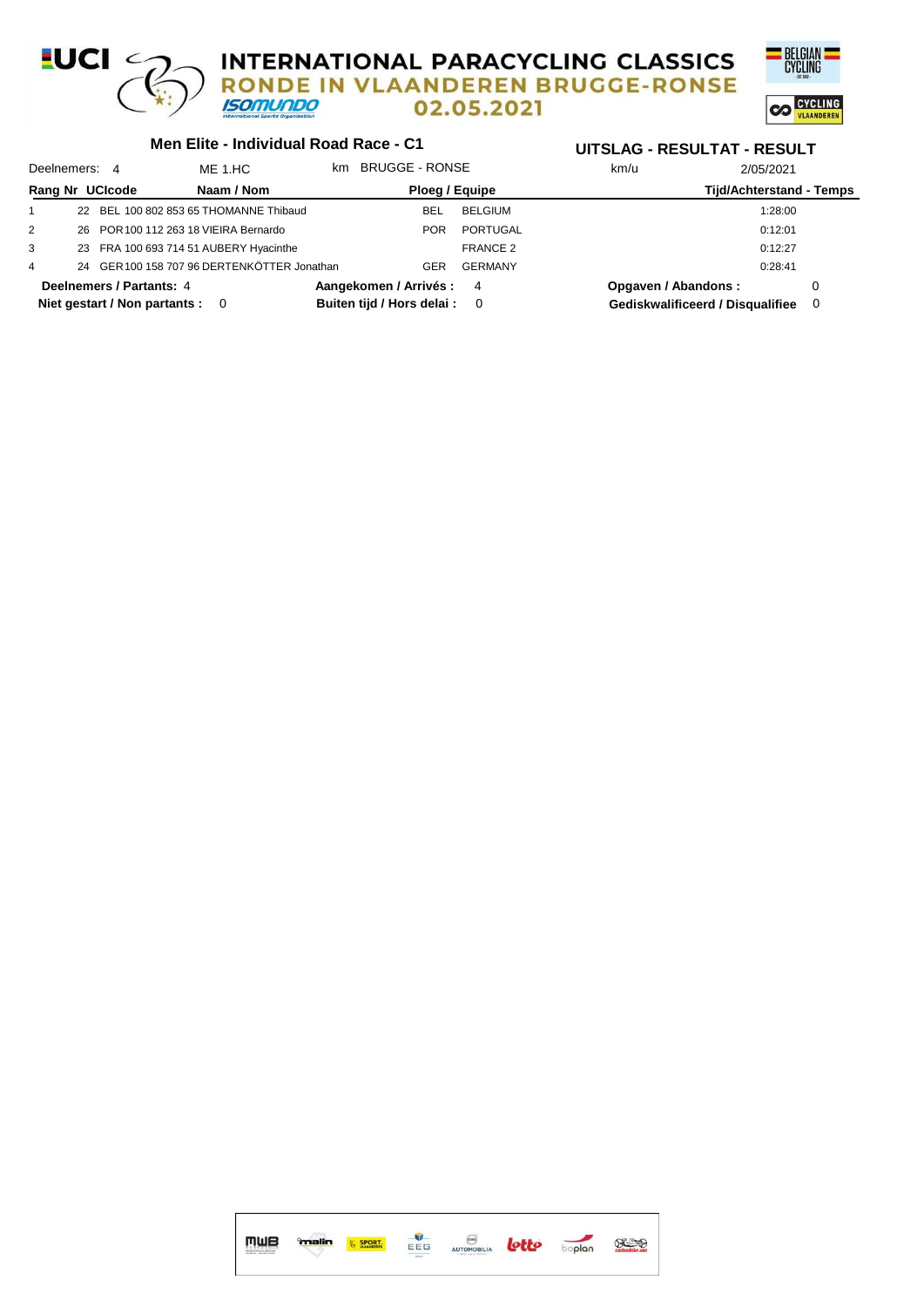#### **EUCI**  $\epsilon$ **INTERNATIONAL PARACYCLING CLASSICS** IN VLAANDEREN BRUGGE-RONSE **RONDE ISOMUNDO** 02.05.2021

**Men Elite - Individual Road Race - C1**



| Deelnemers: 4   |                                 | ME 1.HC                                     | km BRUGGE - RONSE            |                 | km/u                | 2/05/2021                          |  |
|-----------------|---------------------------------|---------------------------------------------|------------------------------|-----------------|---------------------|------------------------------------|--|
| Rang Nr UCIcode |                                 | Naam / Nom                                  | Ploeg / Equipe               |                 |                     | <b>Tijd/Achterstand - Temps</b>    |  |
|                 |                                 | 22 BEL 100 802 853 65 THOMANNE Thibaud      | BEL                          | BELGIUM         |                     | 1:28:00                            |  |
| 2               |                                 | 26 POR 100 112 263 18 VIEIRA Bernardo       | <b>POR</b>                   | PORTUGAL        |                     | 0:12:01                            |  |
| 3               |                                 | 23 FRA 100 693 714 51 AUBERY Hyacinthe      |                              | <b>FRANCE 2</b> |                     | 0:12:27                            |  |
| 4               |                                 | 24 GER 100 158 707 96 DERTENKÖTTER Jonathan | GER                          | <b>GERMANY</b>  |                     | 0:28:41                            |  |
|                 | Deelnemers / Partants: 4        |                                             | Aangekomen / Arrivés: 4      |                 | Opgaven / Abandons: |                                    |  |
|                 | Niet gestart / Non partants : 0 |                                             | Buiten tijd / Hors delai : 0 |                 |                     | Gediskwalificeerd / Disqualifiee 0 |  |

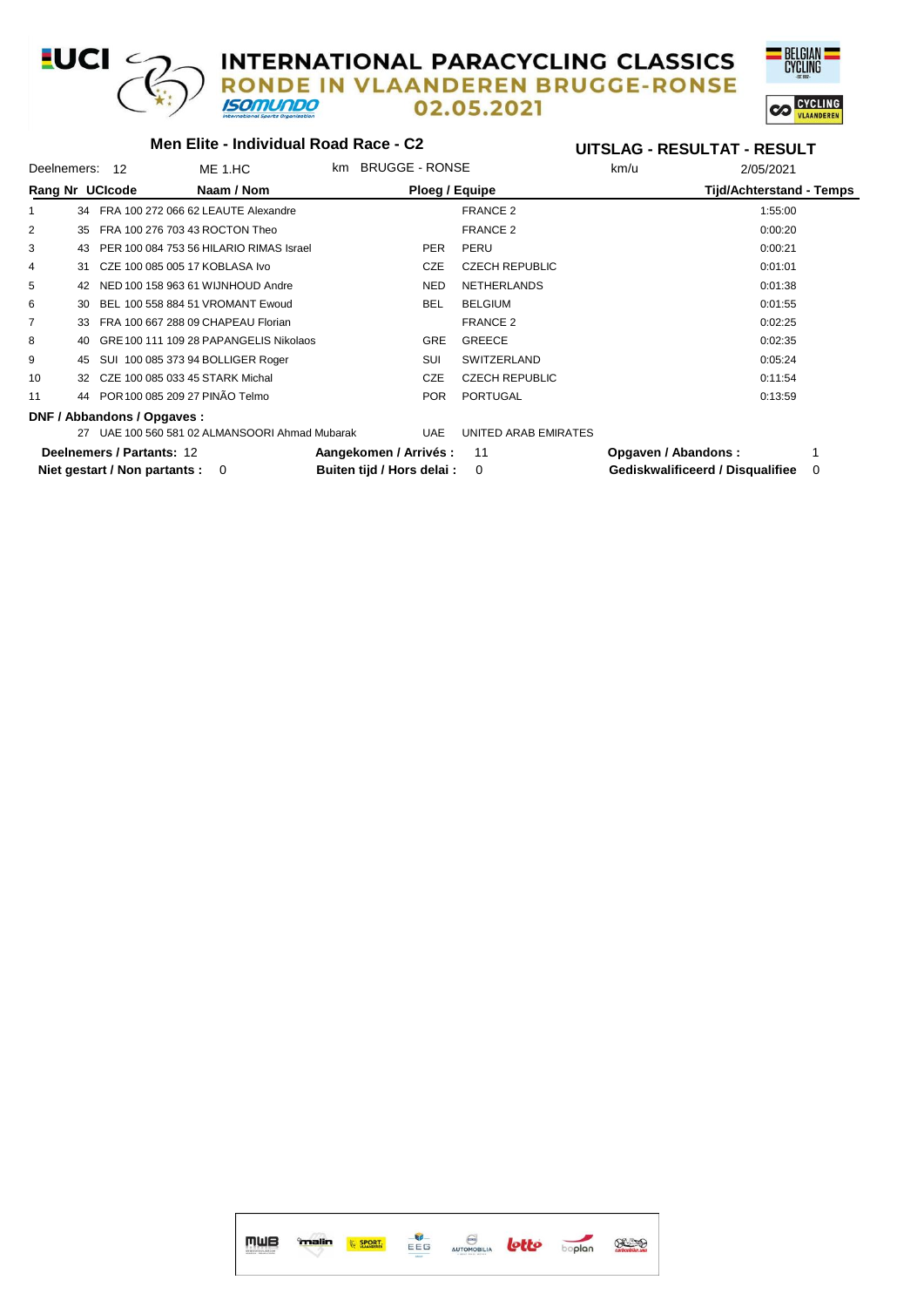#### EUCI < **INTERNATIONAL PARACYCLING CLASSICS RONDE IN VLAANDEREN BRUGGE-RONSE ISOMUNDO** 02.05.2021



VLAANDERE

#### **Men Elite - Individual Road Race - C2** Deelnemers: 12 ME 1.HC 1:55:00 km km/u 2/05/2021 BRUGGE - RONSE **Rang Nr UCIcode Naam / Nom Ploeg / Equipe Tijd/Achterstand - Temps UITSLAG - RESULTAT - RESULT** 1 34 FRA 100 272 066 62 LEAUTE Alexandre FRANCE 2 1:55:00 2 35 FRA 100 276 703 43 ROCTON Theo FRANCE 2 FRANCE 2 0:00:20 3 43 PER 100 084 753 56 HILARIO RIMAS Israel PER PERU 0:00:21 4 31 CZE 100 085 005 17 KOBLASA Ivo CALL COME COME CZECH REPUBLIC COME COME 0:01:01 5 42 NED 100 158 963 61 WIJNHOUD Andre NED NETHERLANDS 0:01:38 6 30 BEL 100 558 884 51 VROMANT Ewoud BEL BELGIUM 0:01:55 7 33 FRA 100 667 288 09 CHAPEAU Florian 6 10 10 2021 1 FRANCE 2 1 20:02:25 8 40 GRE100 111 109 28 PAPANGELIS Nikolaos GRE GREECE GREECE 2002:35 9 45 SUI 100 085 373 94 BOLLIGER Roger SUI SWITZERLAND 0:05:24 10 32 CZE 100 085 033 45 STARK Michal CZE CZECH REPUBLIC 0:11:54 11 44 POR 100 085 209 27 PINÃO Telmo e contra e portugal por portugal e portugal de la portugal de 13:59 **DNF / Abbandons / Opgaves :** 27 UAE 100 560 581 02 ALMANSOORI Ahmad Mubarak UAE UNITED ARAB EMIRATES **Deelnemers / Partants:** 12 **Aangekomen / Arrivés :** 11 **Opgaven / Abandons :** 1 **Niet gestart / Non partants :** 0 **Buiten tijd / Hors delai :** 0 **Gediskwalificeerd / Disqualifiee** 0

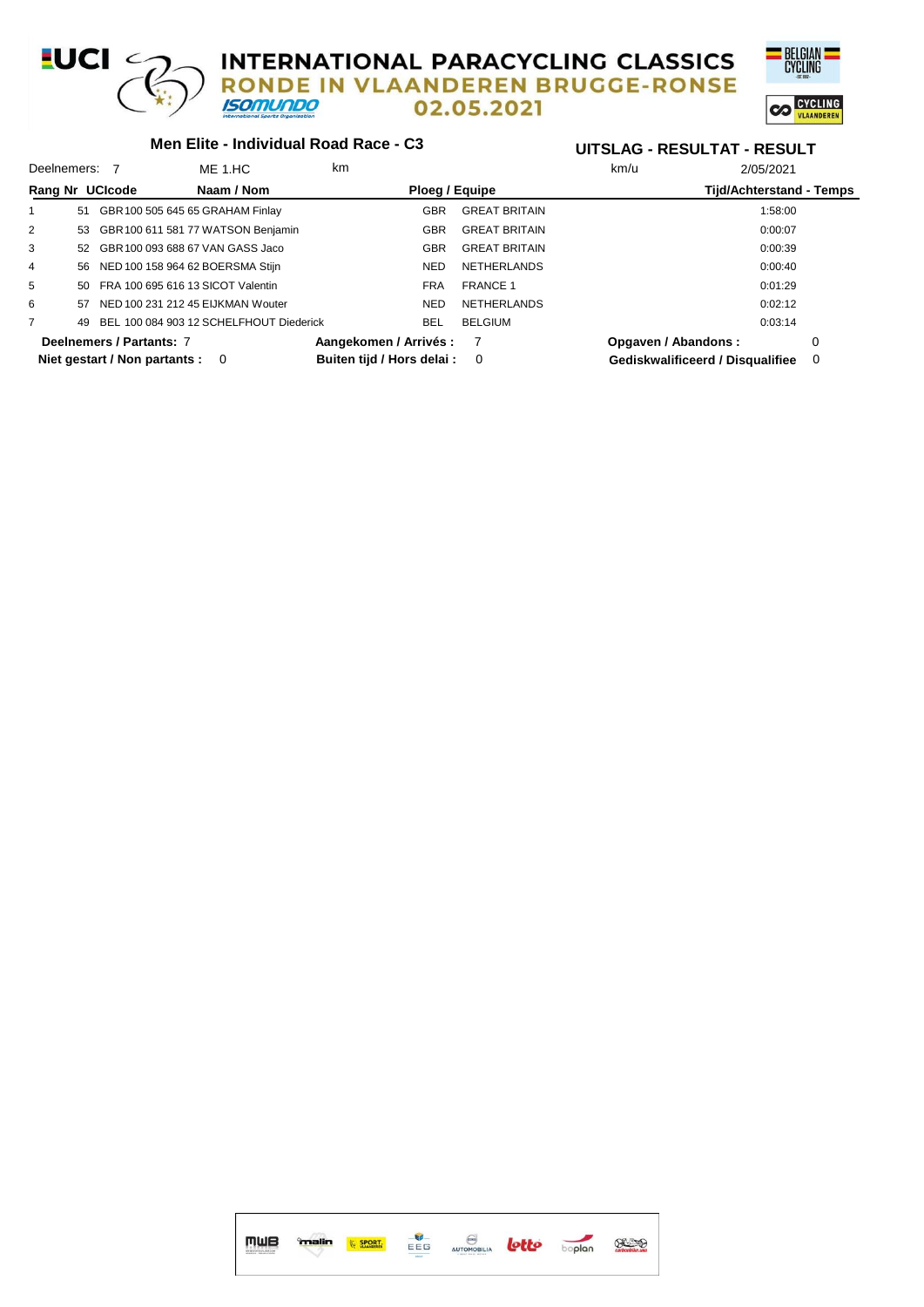#### **EUCI**  $\epsilon$ **INTERNATIONAL PARACYCLING CLASSICS** IN VLAANDEREN BRUGGE-RONSE **ROND ISOMUNDO** 02.05.2021



## **Men Elite - Individual Road Race - C3**

| Deelnemers: 7   |    |                                 | ME 1.HC                                 | km                         |                      | km/u                | 2/05/2021                        |  |
|-----------------|----|---------------------------------|-----------------------------------------|----------------------------|----------------------|---------------------|----------------------------------|--|
| Rang Nr UCIcode |    |                                 | Naam / Nom                              |                            | Ploeg / Equipe       |                     | <b>Tijd/Achterstand - Temps</b>  |  |
|                 |    |                                 | 51 GBR 100 505 645 65 GRAHAM Finlay     | GBR                        | <b>GREAT BRITAIN</b> |                     | 1:58:00                          |  |
| 2               |    |                                 | 53 GBR 100 611 581 77 WATSON Benjamin   | <b>GBR</b>                 | <b>GREAT BRITAIN</b> |                     | 0:00:07                          |  |
| 3               |    |                                 | 52 GBR 100 093 688 67 VAN GASS Jaco     | <b>GBR</b>                 | <b>GREAT BRITAIN</b> |                     | 0:00:39                          |  |
| 4               |    |                                 | 56 NED 100 158 964 62 BOERSMA Stijn     | NED                        | <b>NETHERLANDS</b>   |                     | 0:00:40                          |  |
| 5               |    |                                 | 50 FRA 100 695 616 13 SICOT Valentin    | <b>FRA</b>                 | <b>FRANCE 1</b>      |                     | 0:01:29                          |  |
| 6               | 57 |                                 | NED 100 231 212 45 EIJKMAN Wouter       | <b>NED</b>                 | <b>NETHERLANDS</b>   |                     | 0:02:12                          |  |
| $\overline{7}$  | 49 |                                 | BEL 100 084 903 12 SCHELFHOUT Diederick | BEL                        | BELGIUM              |                     | 0:03:14                          |  |
|                 |    | Deelnemers / Partants: 7        |                                         | Aangekomen / Arrivés :     | - 7                  | Opgaven / Abandons: |                                  |  |
|                 |    | Niet gestart / Non partants : 0 |                                         | Buiten tijd / Hors delai : | 0                    |                     | Gediskwalificeerd / Disqualifiee |  |

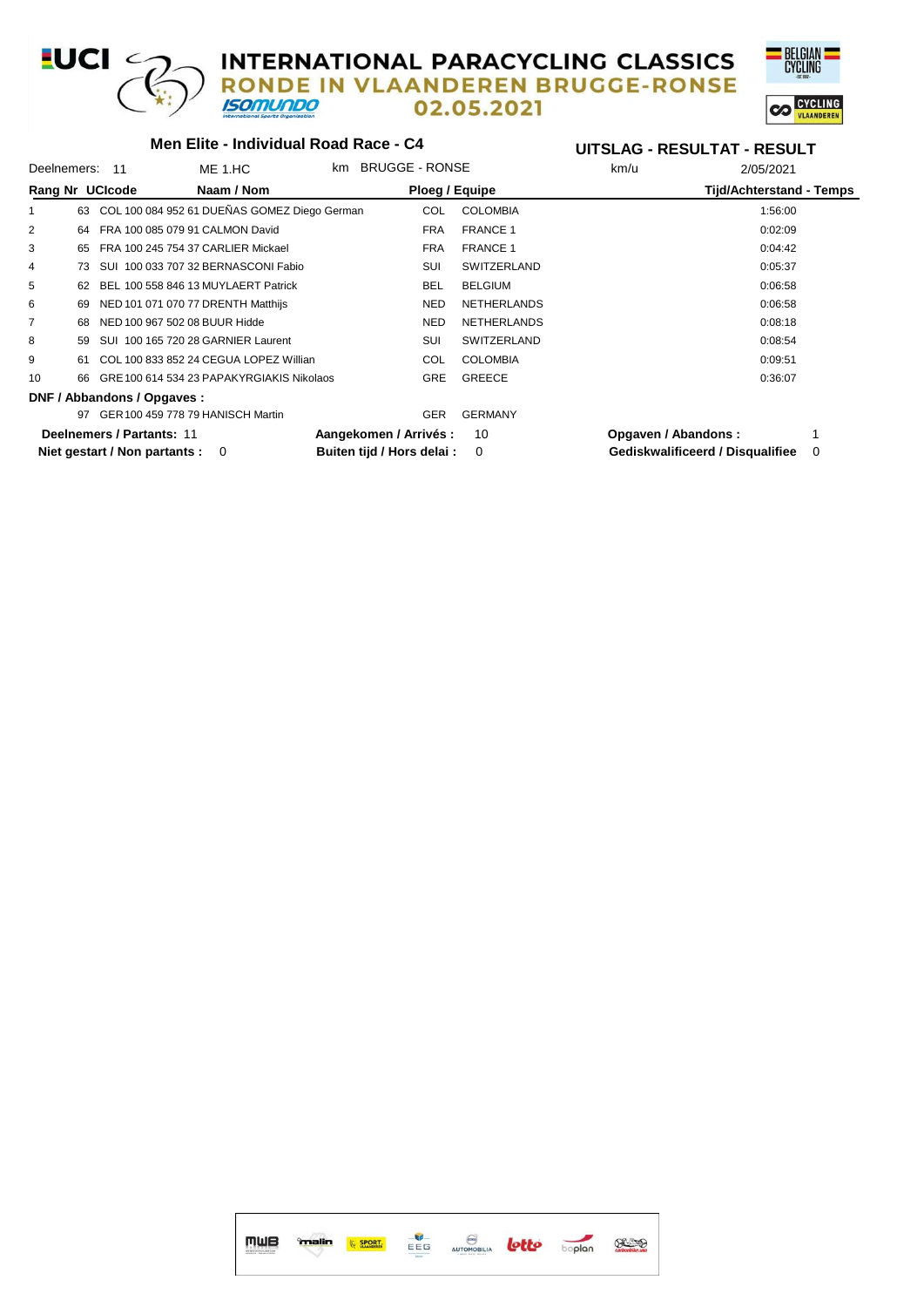#### **INTERNATIONAL PARACYCLING CLASSICS<br>RONDE IN VLAANDEREN BRUGGE-RONSE LUCI**  $\epsilon$ **ISOMUNDO** 02.05.2021



|                 | Men Elite - Individual Road Race - C4 |                               |  |                                                 |    |                            |            |                    | UITSLAG - RESULTAT - RESULT |                                  |   |  |
|-----------------|---------------------------------------|-------------------------------|--|-------------------------------------------------|----|----------------------------|------------|--------------------|-----------------------------|----------------------------------|---|--|
| Deelnemers:     |                                       | 11                            |  | ME 1.HC                                         | km | <b>BRUGGE - RONSE</b>      |            |                    | km/u                        | 2/05/2021                        |   |  |
| Rang Nr UCIcode |                                       |                               |  | Naam / Nom                                      |    |                            |            | Ploeg / Equipe     |                             | <b>Tijd/Achterstand - Temps</b>  |   |  |
|                 |                                       |                               |  | 63 COL 100 084 952 61 DUEÑAS GOMEZ Diego German |    |                            | COL        | <b>COLOMBIA</b>    |                             | 1:56:00                          |   |  |
| 2               |                                       |                               |  | 64 FRA 100 085 079 91 CALMON David              |    |                            | <b>FRA</b> | <b>FRANCE 1</b>    |                             | 0:02:09                          |   |  |
| 3               | 65                                    |                               |  | FRA 100 245 754 37 CARLIER Mickael              |    |                            | <b>FRA</b> | <b>FRANCE 1</b>    |                             | 0:04:42                          |   |  |
| 4               | 73                                    |                               |  | SUI 100 033 707 32 BERNASCONI Fabio             |    |                            | SUI        | <b>SWITZERLAND</b> |                             | 0:05:37                          |   |  |
| 5               | 62.                                   |                               |  | BEL 100 558 846 13 MUYLAERT Patrick             |    |                            | <b>BEL</b> | <b>BELGIUM</b>     |                             | 0:06:58                          |   |  |
| 6               | 69                                    |                               |  | NED 101 071 070 77 DRENTH Matthijs              |    |                            | <b>NED</b> | <b>NETHERLANDS</b> |                             | 0:06:58                          |   |  |
| $\overline{7}$  | 68                                    |                               |  | NED 100 967 502 08 BUUR Hidde                   |    |                            | <b>NED</b> | <b>NETHERLANDS</b> |                             | 0:08:18                          |   |  |
| 8               | 59                                    |                               |  | SUI 100 165 720 28 GARNIER Laurent              |    |                            | SUI        | <b>SWITZERLAND</b> |                             | 0:08:54                          |   |  |
| 9               | 61                                    |                               |  | COL 100 833 852 24 CEGUA LOPEZ Willian          |    |                            | COL        | <b>COLOMBIA</b>    |                             | 0:09:51                          |   |  |
| 10              |                                       |                               |  | 66 GRE 100 614 534 23 PAPAKYRGIAKIS Nikolaos    |    |                            | <b>GRE</b> | <b>GREECE</b>      |                             | 0:36:07                          |   |  |
|                 |                                       | DNF / Abbandons / Opgaves :   |  |                                                 |    |                            |            |                    |                             |                                  |   |  |
|                 |                                       |                               |  | 97 GER 100 459 778 79 HANISCH Martin            |    |                            | <b>GER</b> | <b>GERMANY</b>     |                             |                                  |   |  |
|                 |                                       | Deelnemers / Partants: 11     |  |                                                 |    | Aangekomen / Arrivés :     |            | 10                 | Opgaven / Abandons:         |                                  |   |  |
|                 |                                       | Niet gestart / Non partants : |  | 0                                               |    | Buiten tijd / Hors delai : |            | 0                  |                             | Gediskwalificeerd / Disqualifiee | 0 |  |

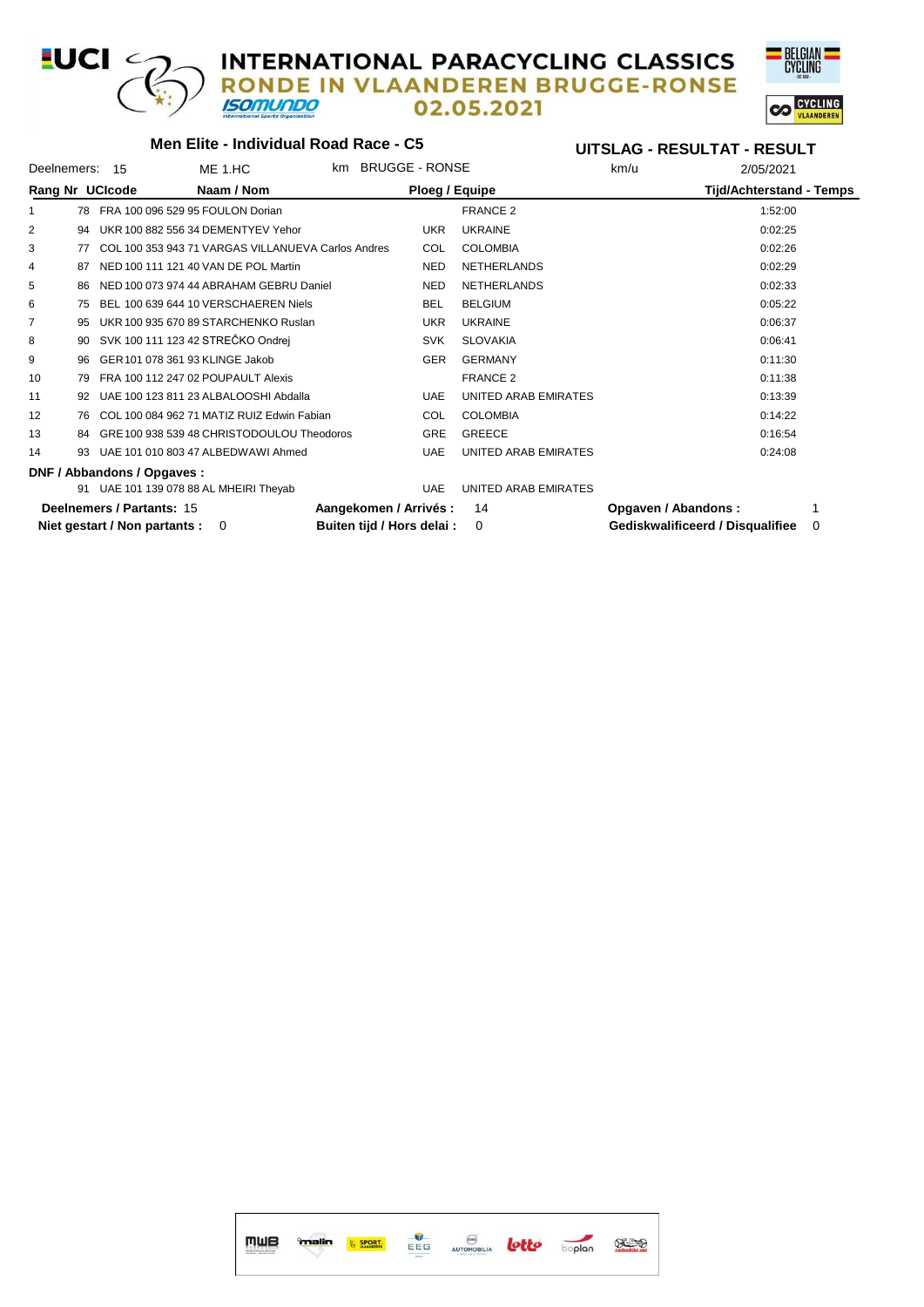#### **EUCI**  $\epsilon$ **INTERNATIONAL PARACYCLING CLASSICS** IN VLAANDEREN BRUGGE-RONSE **RONDE ISOMUNDO** 02.05.2021



# **Men Elite - Individual Road Race - C5**

| Deelnemers:     |    | - 15                            | ME 1.HC                                            | km | <b>BRUGGE - RONSE</b>      |            |                      | km/u                | 2/05/2021                        |          |
|-----------------|----|---------------------------------|----------------------------------------------------|----|----------------------------|------------|----------------------|---------------------|----------------------------------|----------|
| Rang Nr UCIcode |    |                                 | Naam / Nom                                         |    |                            |            | Ploeg / Equipe       |                     | <b>Tijd/Achterstand - Temps</b>  |          |
|                 |    |                                 | 78 FRA 100 096 529 95 FOULON Dorian                |    |                            |            | <b>FRANCE 2</b>      |                     | 1:52:00                          |          |
| 2               | 94 |                                 | UKR 100 882 556 34 DEMENTYEV Yehor                 |    |                            | <b>UKR</b> | <b>UKRAINE</b>       |                     | 0:02:25                          |          |
| 3               | 77 |                                 | COL 100 353 943 71 VARGAS VILLANUEVA Carlos Andres |    |                            | COL        | <b>COLOMBIA</b>      |                     | 0:02:26                          |          |
| 4               | 87 |                                 | NED 100 111 121 40 VAN DE POL Martin               |    |                            | <b>NED</b> | <b>NETHERLANDS</b>   |                     | 0:02:29                          |          |
| 5               | 86 |                                 | NED 100 073 974 44 ABRAHAM GEBRU Daniel            |    |                            | <b>NED</b> | <b>NETHERLANDS</b>   |                     | 0:02:33                          |          |
| 6               | 75 |                                 | BEL 100 639 644 10 VERSCHAEREN Niels               |    |                            | <b>BEL</b> | <b>BELGIUM</b>       |                     | 0:05:22                          |          |
| 7               | 95 |                                 | UKR 100 935 670 89 STARCHENKO Ruslan               |    |                            | <b>UKR</b> | <b>UKRAINE</b>       |                     | 0:06:37                          |          |
| 8               | 90 |                                 | SVK 100 111 123 42 STREČKO Ondrej                  |    |                            | <b>SVK</b> | <b>SLOVAKIA</b>      |                     | 0:06:41                          |          |
| 9               | 96 |                                 | GER 101 078 361 93 KLINGE Jakob                    |    |                            | <b>GER</b> | <b>GERMANY</b>       |                     | 0:11:30                          |          |
| 10              | 79 |                                 | FRA 100 112 247 02 POUPAULT Alexis                 |    |                            |            | <b>FRANCE 2</b>      |                     | 0:11:38                          |          |
| 11              | 92 |                                 | UAE 100 123 811 23 ALBALOOSHI Abdalla              |    |                            | <b>UAE</b> | UNITED ARAB EMIRATES |                     | 0:13:39                          |          |
| 12              | 76 |                                 | COL 100 084 962 71 MATIZ RUIZ Edwin Fabian         |    |                            | <b>COL</b> | <b>COLOMBIA</b>      |                     | 0:14:22                          |          |
| 13              | 84 |                                 | GRE 100 938 539 48 CHRISTODOULOU Theodoros         |    |                            | <b>GRE</b> | <b>GREECE</b>        |                     | 0:16:54                          |          |
| 14              | 93 |                                 | UAE 101 010 803 47 ALBEDWAWI Ahmed                 |    |                            | <b>UAE</b> | UNITED ARAB EMIRATES |                     | 0:24:08                          |          |
|                 |    | DNF / Abbandons / Opgaves :     |                                                    |    |                            |            |                      |                     |                                  |          |
|                 |    |                                 | 91 UAE 101 139 078 88 AL MHEIRI Theyab             |    |                            | <b>UAE</b> | UNITED ARAB EMIRATES |                     |                                  |          |
|                 |    | Deelnemers / Partants: 15       |                                                    |    | Aangekomen / Arrivés :     |            | 14                   | Opgaven / Abandons: |                                  |          |
|                 |    | Niet gestart / Non partants : 0 |                                                    |    | Buiten tijd / Hors delai : |            | 0                    |                     | Gediskwalificeerd / Disqualifiee | $\Omega$ |

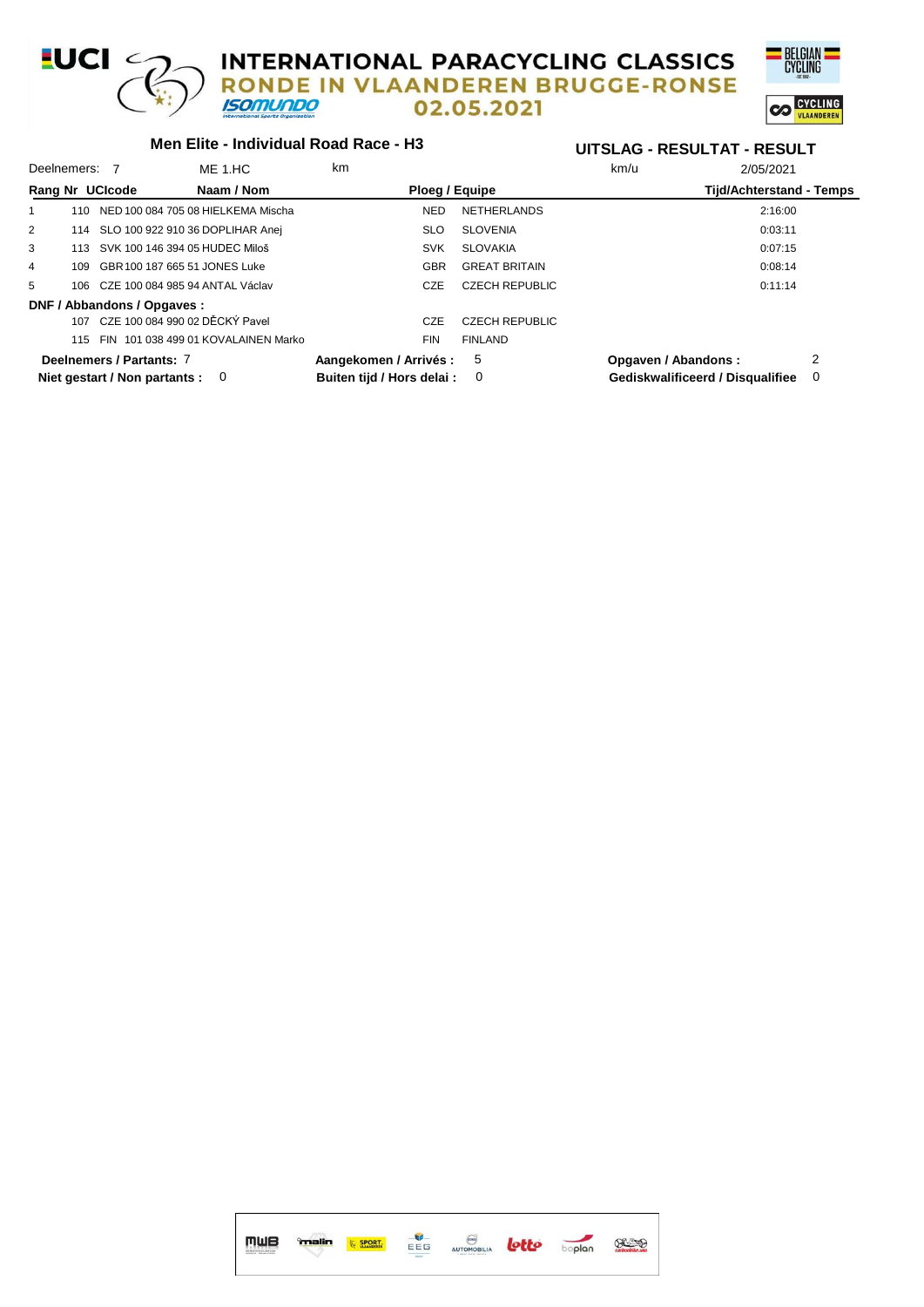#### **-UCI**  $\epsilon$ **INTERNATIONAL PARACYCLING CLASSICS** IN VLAANDEREN BRUGGE-RONSE Е **ISOMUNDO** 02.05.2021



### **Men Elite - Individual Road Race - H3**

| Deelnemers: 7 |     |                                     | ME 1.HC                              | km                         |                       | km/u                             | 2/05/2021                |   |
|---------------|-----|-------------------------------------|--------------------------------------|----------------------------|-----------------------|----------------------------------|--------------------------|---|
|               |     | Rang Nr UCIcode                     | Naam / Nom                           | Ploeg / Equipe             |                       |                                  | Tijd/Achterstand - Temps |   |
|               | 110 |                                     | NED 100 084 705 08 HIELKEMA Mischa   | <b>NED</b>                 | <b>NETHERLANDS</b>    |                                  | 2:16:00                  |   |
| 2             |     |                                     | 114 SLO 100 922 910 36 DOPLIHAR Anei | <b>SLO</b>                 | <b>SLOVENIA</b>       |                                  | 0:03:11                  |   |
| 3             | 113 | SVK 100 146 394 05 HUDEC Miloš      |                                      | <b>SVK</b>                 | SLOVAKIA              |                                  | 0:07:15                  |   |
| 4             | 109 | GBR 100 187 665 51 JONES Luke       |                                      | <b>GBR</b>                 | <b>GREAT BRITAIN</b>  |                                  | 0:08:14                  |   |
| 5             |     | 106 CZE 100 084 985 94 ANTAL Václav |                                      | CZE                        | <b>CZECH REPUBLIC</b> |                                  | 0:11:14                  |   |
|               |     | DNF / Abbandons / Opgaves :         |                                      |                            |                       |                                  |                          |   |
|               |     | 107 CZE 100 084 990 02 DĚCKÝ Pavel  |                                      | CZE                        | <b>CZECH REPUBLIC</b> |                                  |                          |   |
|               | 115 |                                     | FIN 101 038 499 01 KOVALAINEN Marko  | <b>FIN</b>                 | <b>FINLAND</b>        |                                  |                          |   |
|               |     | Deelnemers / Partants: 7            |                                      | Aangekomen / Arrivés :     | -5                    | Opgaven / Abandons:              |                          | 2 |
|               |     | Niet gestart / Non partants : 0     |                                      | Buiten tijd / Hors delai : | - 0                   | Gediskwalificeerd / Disqualifiee |                          | 0 |

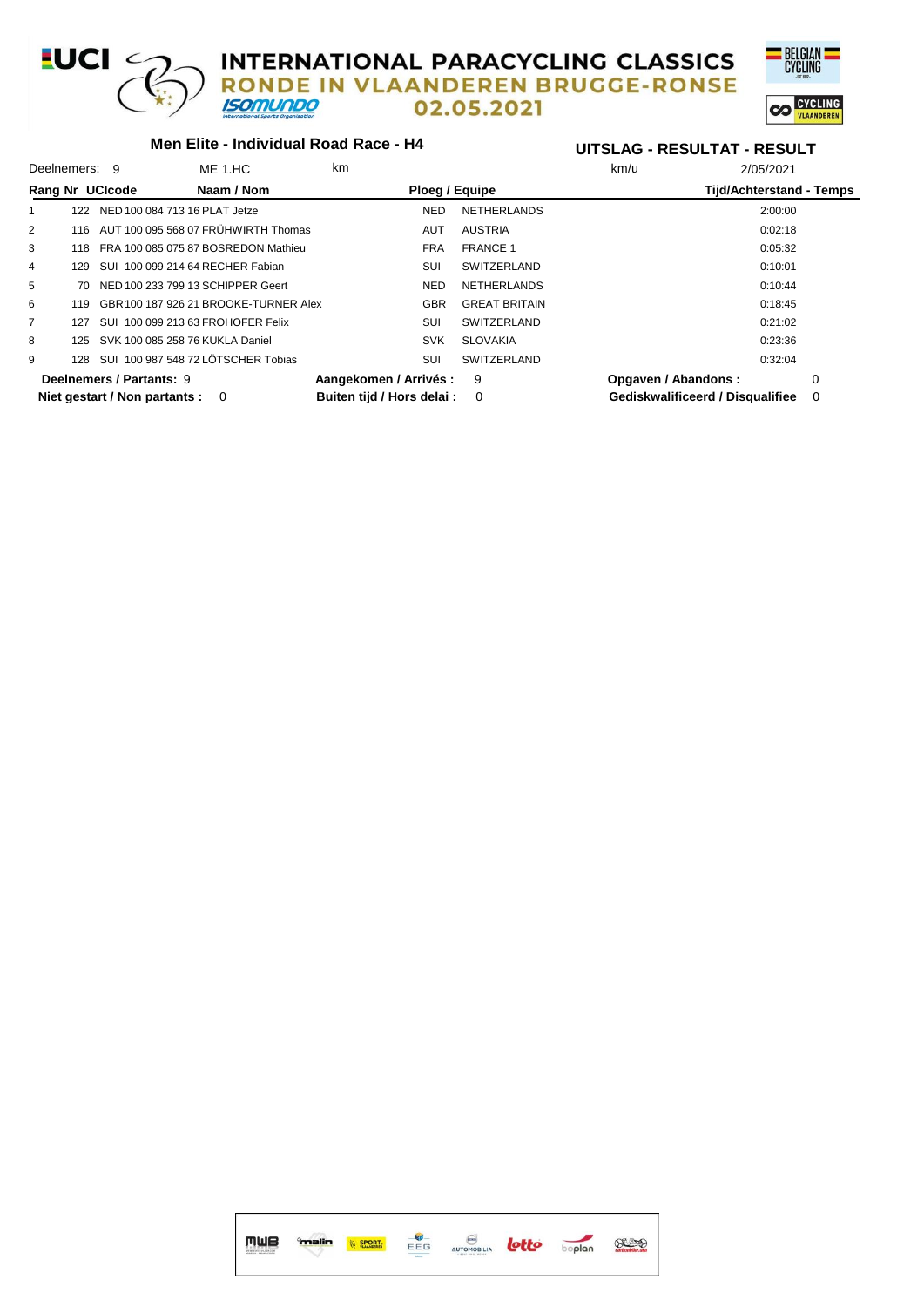#### **EUCI**  $\epsilon$ **INTERNATIONAL PARACYCLING CLASSICS<br>RONDE IN VLAANDEREN BRUGGE-RONSE ISOMUNDO** 02.05.2021



|                                 |      |                                 | Men Elite - Individual Road Race - H4  |                            |                      | UITSLAG - RESULTAT - RESULT      |          |
|---------------------------------|------|---------------------------------|----------------------------------------|----------------------------|----------------------|----------------------------------|----------|
| Deelnemers: 9                   |      |                                 | ME 1.HC                                | km                         |                      | 2/05/2021<br>km/u                |          |
| Rang Nr UCIcode                 |      |                                 | Naam / Nom                             | Ploeg / Equipe             |                      | <b>Tijd/Achterstand - Temps</b>  |          |
|                                 | 122  | NED 100 084 713 16 PLAT Jetze   |                                        | <b>NED</b>                 | <b>NETHERLANDS</b>   | 2:00:00                          |          |
| 2                               | 116  |                                 | AUT 100 095 568 07 FRÜHWIRTH Thomas    | <b>AUT</b>                 | <b>AUSTRIA</b>       | 0:02:18                          |          |
| 3                               | 118. |                                 | FRA 100 085 075 87 BOSREDON Mathieu    | <b>FRA</b>                 | <b>FRANCE 1</b>      | 0:05:32                          |          |
| 4                               | 129  |                                 | SUI 100 099 214 64 RECHER Fabian       | SUI                        | SWITZERLAND          | 0:10:01                          |          |
| 5                               | 70   |                                 | NED 100 233 799 13 SCHIPPER Geert      | <b>NED</b>                 | <b>NETHERLANDS</b>   | 0:10:44                          |          |
| 6                               | 119  |                                 | GBR 100 187 926 21 BROOKE-TURNER Alex  | <b>GBR</b>                 | <b>GREAT BRITAIN</b> | 0:18:45                          |          |
| $\overline{7}$                  | 127  |                                 | SUI 100 099 213 63 FROHOFER Felix      | SUI                        | SWITZERLAND          | 0:21:02                          |          |
| 8                               | 125  | SVK 100 085 258 76 KUKLA Daniel |                                        | <b>SVK</b>                 | <b>SLOVAKIA</b>      | 0:23:36                          |          |
| 9                               |      |                                 | 128 SUI 100 987 548 72 LÖTSCHER Tobias | SUI                        | <b>SWITZERLAND</b>   | 0:32:04                          |          |
|                                 |      | Deelnemers / Partants: 9        |                                        | Aangekomen / Arrivés :     | 9                    | Opgaven / Abandons:              | $\Omega$ |
| Niet gestart / Non partants : 0 |      |                                 |                                        | Buiten tijd / Hors delai : | $\mathbf{0}$         | Gediskwalificeerd / Disqualifiee | 0        |

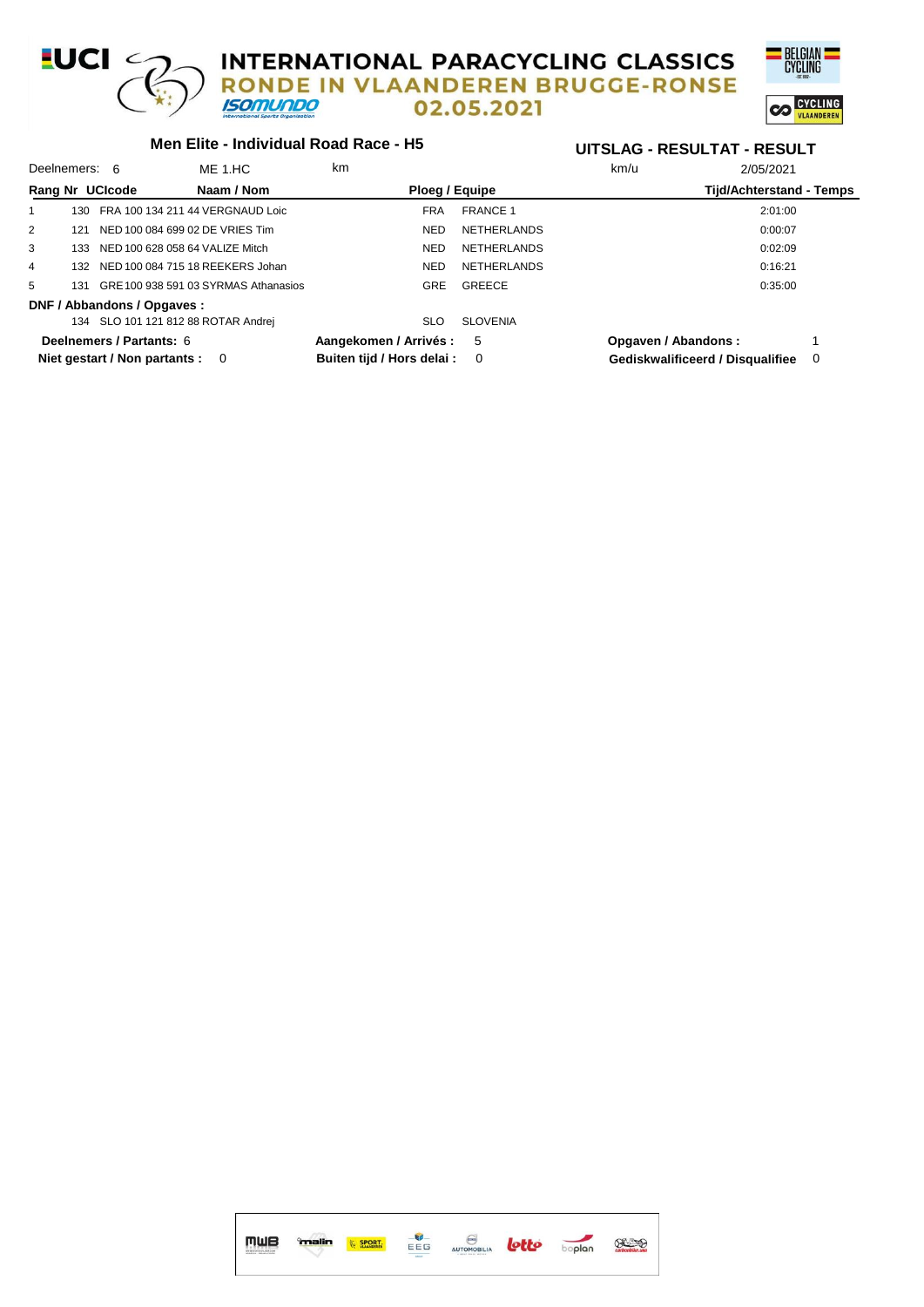## **-UCI**  $\epsilon$ **INTERNATIONAL PARACYCLING CLASSICS<br>RONDE IN VLAANDEREN BRUGGE-RONSE ISOMUNDO** 02.05.2021

**Men Elite - Individual Road Race - H5**



| Deelnemers: 6   |     |                               | ME 1.HC                              | km |                           |                    | km/u | 2/05/2021                        |          |
|-----------------|-----|-------------------------------|--------------------------------------|----|---------------------------|--------------------|------|----------------------------------|----------|
| Rang Nr UCIcode |     |                               | Naam / Nom                           |    | Ploeg / Equipe            |                    |      | Tijd/Achterstand - Temps         |          |
|                 | 130 |                               | FRA 100 134 211 44 VERGNAUD Loic     |    | <b>FRA</b>                | <b>FRANCE 1</b>    |      | 2:01:00                          |          |
| 2               | 121 |                               | NED 100 084 699 02 DE VRIES Tim      |    | NED.                      | <b>NETHERLANDS</b> |      | 0:00:07                          |          |
| 3               | 133 |                               | NED 100 628 058 64 VALIZE Mitch      |    | NED.                      | <b>NETHERLANDS</b> |      | 0:02:09                          |          |
| 4               | 132 |                               | NED 100 084 715 18 REEKERS Johan     |    | NED.                      | <b>NETHERLANDS</b> |      | 0:16:21                          |          |
| 5               | 131 |                               | GRE 100 938 591 03 SYRMAS Athanasios |    | <b>GRE</b>                | <b>GREECE</b>      |      | 0:35:00                          |          |
|                 |     | DNF / Abbandons / Opgaves :   |                                      |    |                           |                    |      |                                  |          |
|                 |     |                               | 134 SLO 101 121 812 88 ROTAR Andrei  |    | <b>SLO</b>                | <b>SLOVENIA</b>    |      |                                  |          |
|                 |     | Deelnemers / Partants: 6      |                                      |    | Aangekomen / Arrivés:     | 5                  |      | Opgaven / Abandons:              |          |
|                 |     | Niet gestart / Non partants : | $\overline{\mathbf{0}}$              |    | Buiten tiid / Hors delai: | 0                  |      | Gediskwalificeerd / Disqualifiee | $\Omega$ |

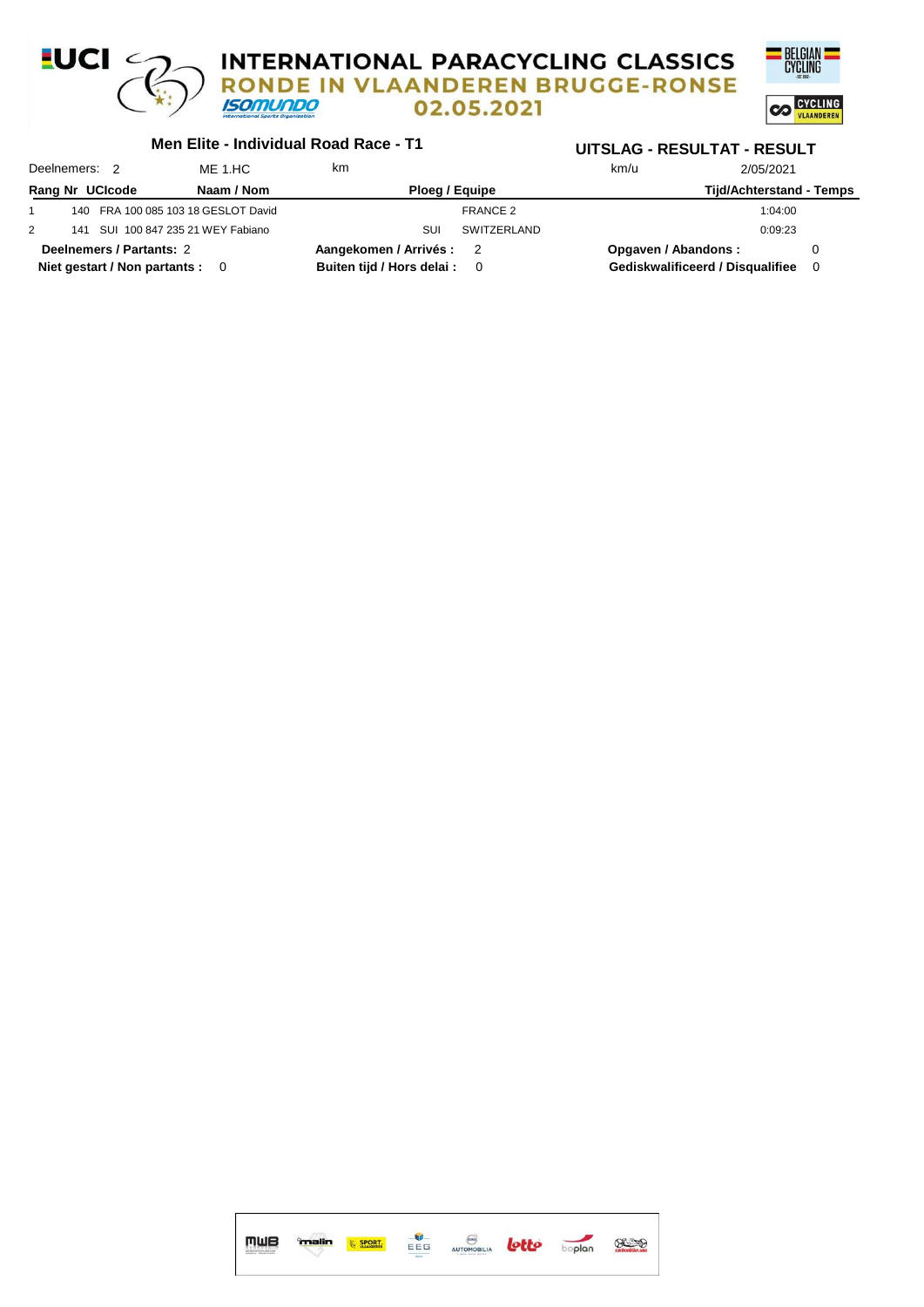#### **-UCI**  $\epsilon$ **INTERNATIONAL PARACYCLING CLASSICS<br>RONDE IN VLAANDEREN BRUGGE-RONSE ISOMUNDO** 02.05.2021 **CO CYCLING**



|   | Deelnemers: 2                   | ME 1.HC                             | km                           |             | km/u                | 2/05/2021                        |  |
|---|---------------------------------|-------------------------------------|------------------------------|-------------|---------------------|----------------------------------|--|
|   | Rang Nr UCIcode                 | Naam / Nom                          | Ploeg / Equipe               |             |                     | Tijd/Achterstand - Temps         |  |
|   |                                 | 140 FRA 100 085 103 18 GESLOT David |                              | FRANCE 2    |                     | 1:04:00                          |  |
| 2 |                                 | 141 SUI 100 847 235 21 WEY Fabiano  | SUI                          | SWITZERLAND |                     | 0:09:23                          |  |
|   | Deelnemers / Partants: 2        |                                     | Aangekomen / Arrivés : 2     |             | Opgaven / Abandons: |                                  |  |
|   | Niet gestart / Non partants : 0 |                                     | Buiten tijd / Hors delai : 0 |             |                     | Gediskwalificeerd / Disqualifiee |  |

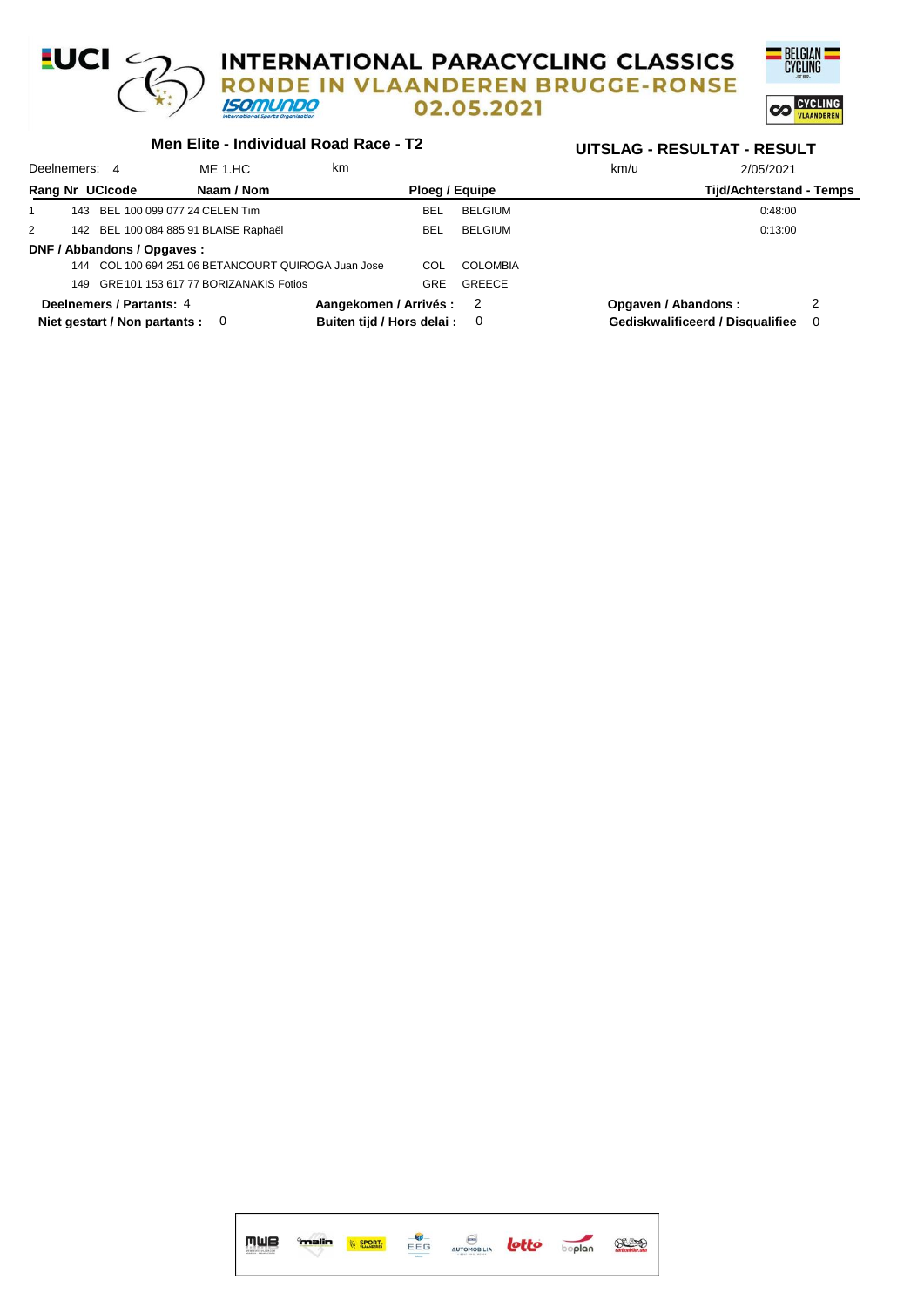#### $UCI \n\subset$ **INTERNATIONAL PARACYCLING CLASSICS RONDE IN VLAANDEREN BRUGGE-RONSE ISOMUNDO** 02.05.2021



#### **Men Elite - Individual Road Race - T2**

#### Deelnemers: 4 ME 1.HC 0:48:00 km km/u 2/05/2021 **Rang Nr UCIcode Naam / Nom Ploeg / Equipe Tijd/Achterstand - Temps UITSLAG - RESULTAT - RESULT** 1 143 BEL 100 099 077 24 CELEN Tim BEL BELGIUM 0:48:00 2 142 BEL 100 084 885 91 BLAISE Raphaël BEL BELGIUM 0:13:00 **DNF / Abbandons / Opgaves :** 144 COL 100 694 251 06 BETANCOURT QUIROGA Juan Jose COL COLOMBIA 149 GRE101 153 617 77 BORIZANAKIS Fotios GRE GREECE **Deelnemers / Partants:** 4 **Aangekomen / Arrivés :** 2 **Opgaven / Abandons :** 2 **Niet gestart / Non partants :** 0 **Buiten tijd / Hors delai :** 0 **Gediskwalificeerd / Disqualifiee** 0

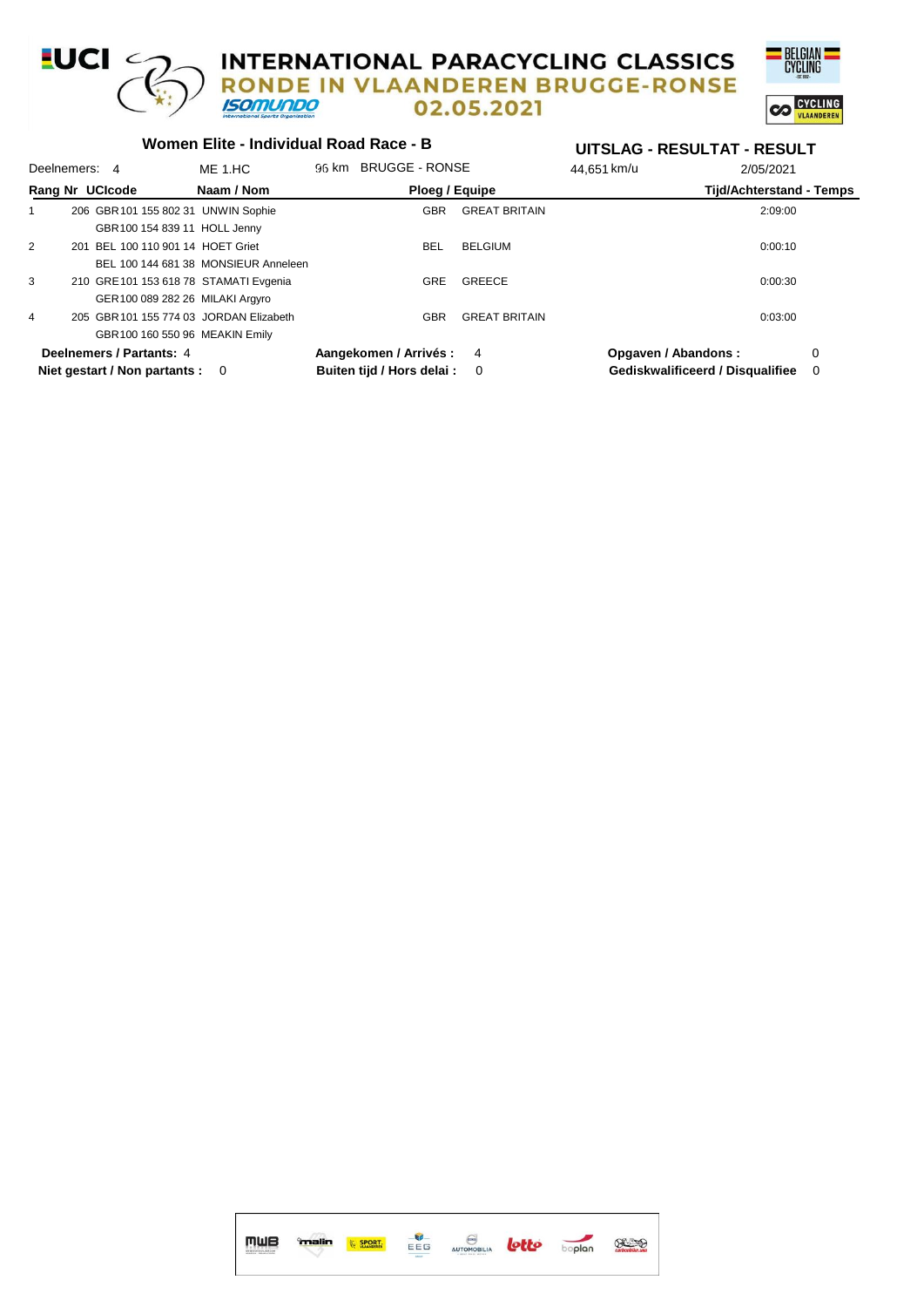#### $UCI \subset$ **INTERNATIONAL PARACYCLING CLASSICS RONDE IN VLAANDEREN BRUGGE-RONSE ISOMUNDO** 02.05.2021



## **Women Elite - Individual Road Race - B**

#### Deelnemers: 4 ME 1.HC 96 km BRUGGE - RONSE 44,651 km/u 2/05/2021 **Rang Nr UCIcode Naam / Nom Ploeg / Equipe Tijd/Achterstand - Temps UITSLAG - RESULTAT - RESULT** 1 206 GBR101 155 802 31 UNWIN Sophie GBR GREAT BRITAIN 2:09:00 GBR100 154 839 11 HOLL Jenny 2 201 BEL 100 110 901 14 HOET Griet BEL BELGIUM 0:00:10 BEL 100 144 681 38 MONSIEUR Anneleen 3 210 GRE101 153 618 78 STAMATI Evgenia GREECE GREECE GREECE 20030 0:00:30 GER100 089 282 26 MILAKI Argyro 4 205 GBR101 155 774 03 JORDAN Elizabeth GBR GREAT BRITAIN 0:03:00 GBR100 160 550 96 MEAKIN Emily **Deelnemers / Partants:** 4 **Aangekomen / Arrivés :** 4 **Opgaven / Abandons :** 0 **Niet gestart / Non partants :** 0 **Buiten tijd / Hors delai :** 0 **Gediskwalificeerd / Disqualifiee** 0

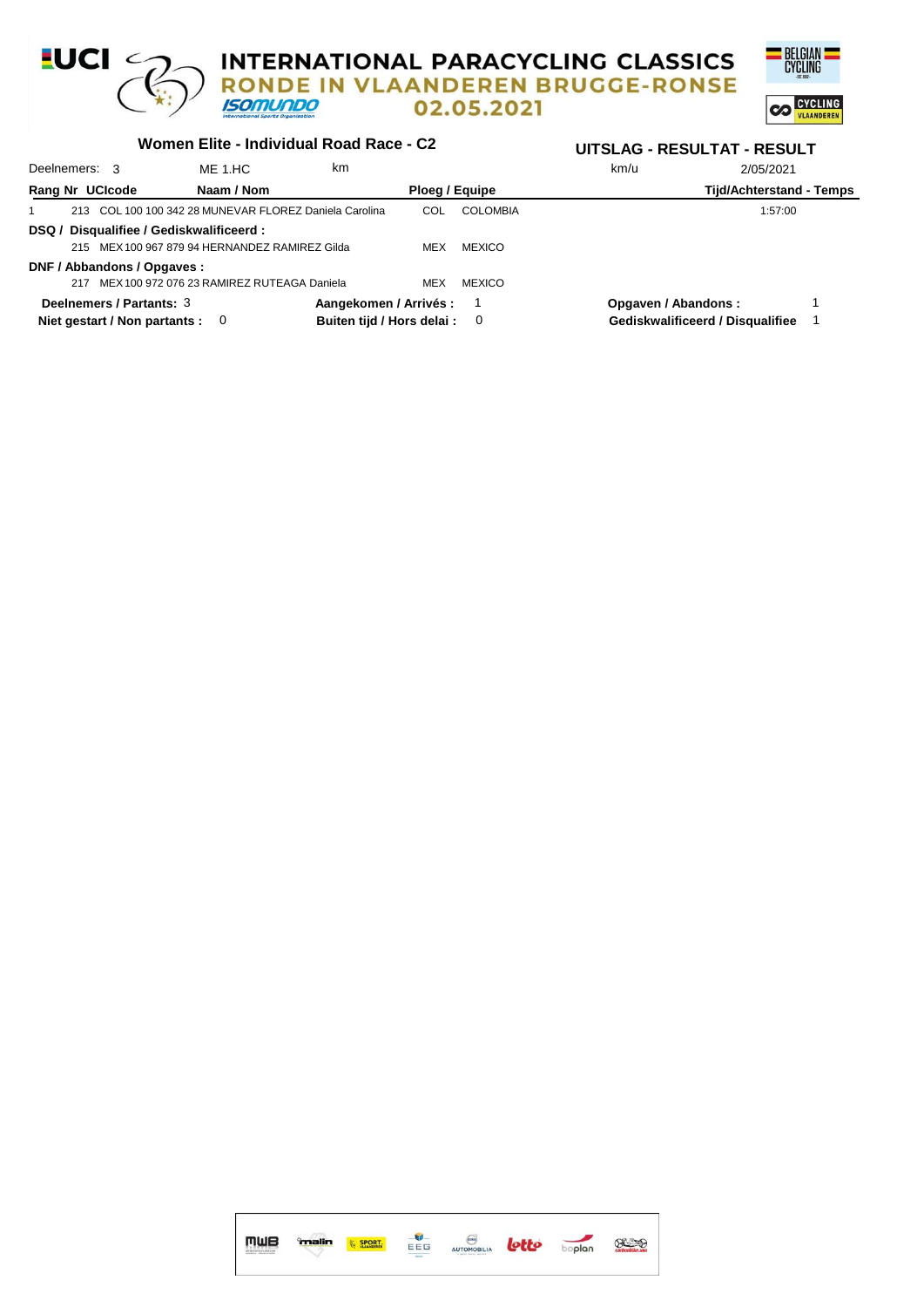#### **-UCI**  $\epsilon$ **INTERNATIONAL PARACYCLING CLASSICS** RONDE IN VLAANDEREN BRUGGE-RONSE **ISOMUNDO** 02.05.2021



## **Women Elite - Individual Road Race - C2**

| Deelnemers: 3   |  |                                          | ME 1.HC                                        | km                                                     |                |                 | km/u                | 2/05/2021                        |  |
|-----------------|--|------------------------------------------|------------------------------------------------|--------------------------------------------------------|----------------|-----------------|---------------------|----------------------------------|--|
| Rang Nr UCIcode |  |                                          | Naam / Nom                                     |                                                        | Ploeg / Equipe |                 |                     | Tijd/Achterstand - Temps         |  |
|                 |  |                                          |                                                | 213 COL 100 100 342 28 MUNEVAR FLOREZ Daniela Carolina | COL            | <b>COLOMBIA</b> |                     | 1:57:00                          |  |
|                 |  | DSQ / Disqualifiee / Gediskwalificeerd : |                                                |                                                        |                |                 |                     |                                  |  |
|                 |  |                                          | 215 MEX 100 967 879 94 HERNANDEZ RAMIREZ Gilda |                                                        | MEX            | <b>MEXICO</b>   |                     |                                  |  |
|                 |  | DNF / Abbandons / Opgaves :              |                                                |                                                        |                |                 |                     |                                  |  |
|                 |  |                                          | 217 MEX 100 972 076 23 RAMIREZ RUTEAGA Daniela |                                                        | <b>MEX</b>     | <b>MEXICO</b>   |                     |                                  |  |
|                 |  | Deelnemers / Partants: 3                 |                                                | Aangekomen / Arrivés :                                 |                |                 | Opgaven / Abandons: |                                  |  |
|                 |  | Niet gestart / Non partants : 0          |                                                | Buiten tijd / Hors delai :                             |                | - 0             |                     | Gediskwalificeerd / Disqualifiee |  |

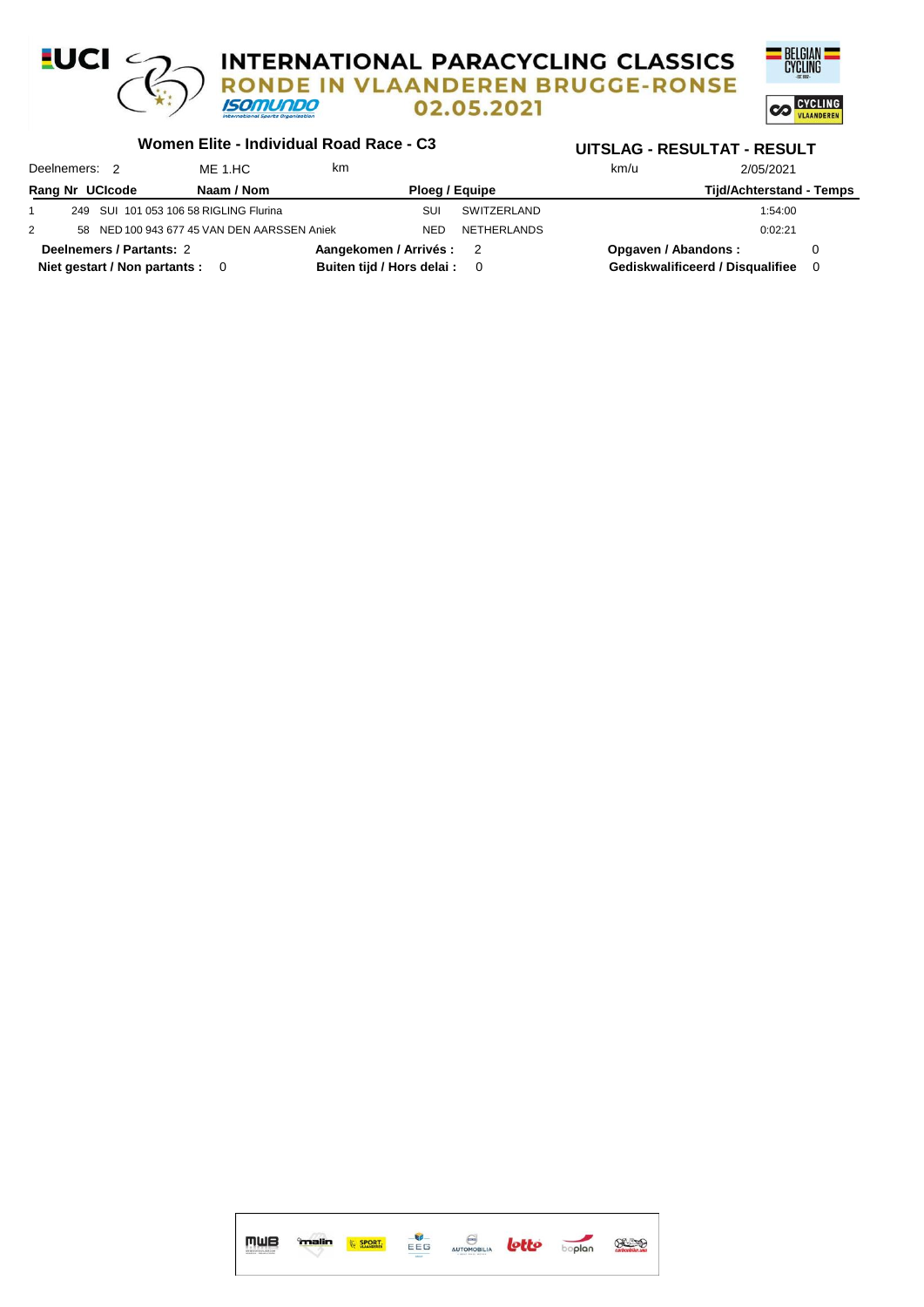

#### **Women Elite - Individual Road Race - C3**

|   | Deelnemers: 2 |                                 | ME 1.HC                                     | km                         |                |                | km/u                | 2/05/2021                        |  |
|---|---------------|---------------------------------|---------------------------------------------|----------------------------|----------------|----------------|---------------------|----------------------------------|--|
|   |               | Rang Nr UCIcode                 | Naam / Nom                                  |                            | Ploeg / Equipe |                |                     | Tijd/Achterstand - Temps         |  |
|   |               |                                 | 249 SUI 101 053 106 58 RIGLING Flurina      |                            | SUI            | SWITZERLAND    |                     | 1:54:00                          |  |
| 2 |               |                                 | 58 NED 100 943 677 45 VAN DEN AARSSEN Aniek |                            | NED            | NETHERLANDS    |                     | 0:02:21                          |  |
|   |               | Deelnemers / Partants: 2        |                                             | Aangekomen / Arrivés: 2    |                |                | Opgaven / Abandons: |                                  |  |
|   |               | Niet gestart / Non partants : 0 |                                             | Buiten tijd / Hors delai : |                | $\overline{0}$ |                     | Gediskwalificeerd / Disqualifiee |  |

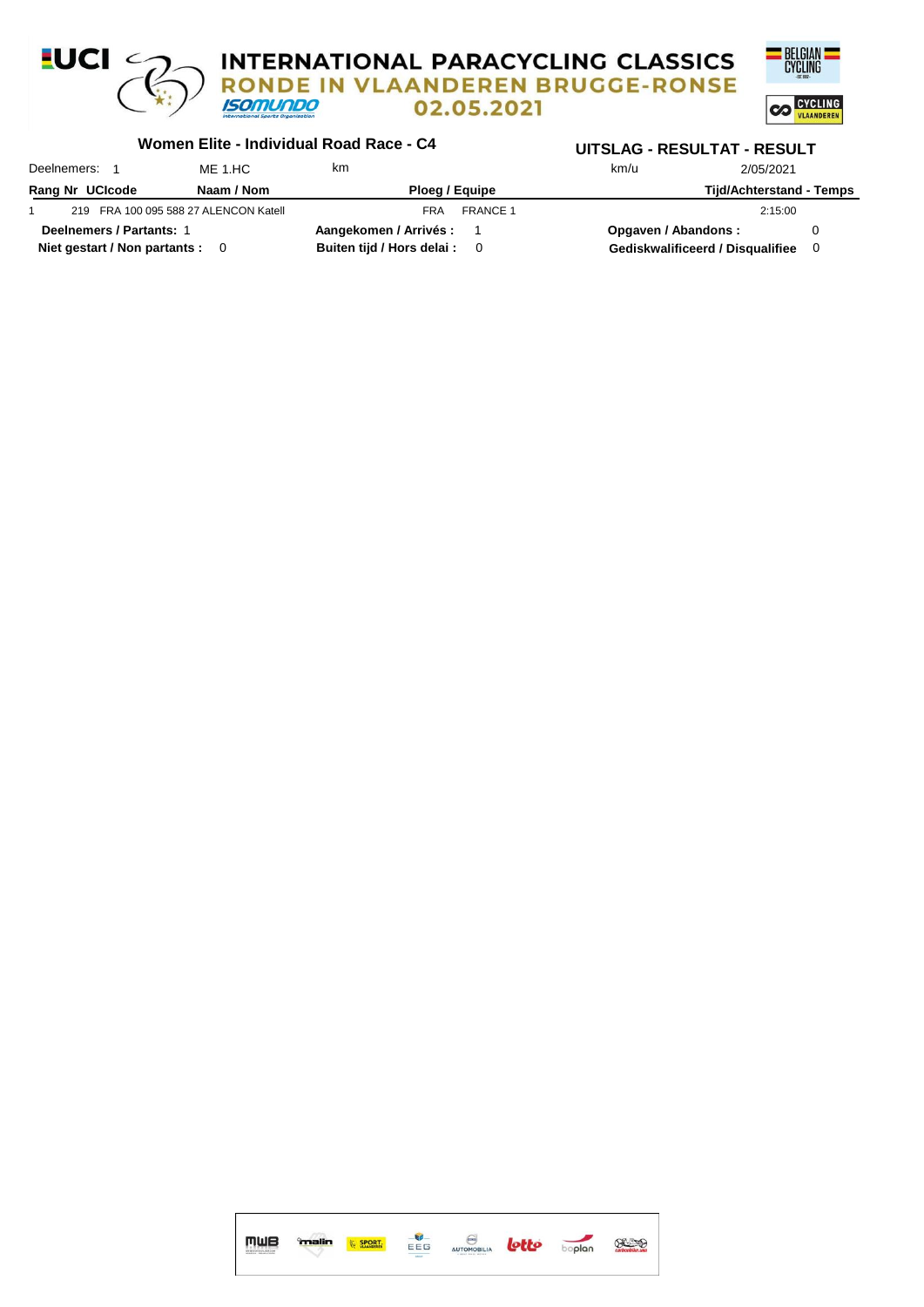

#### **Women Elite - Individual Road Race - C4**

| Deelnemers:                     | ME 1.HC                               | km                            | km/u                 | 2/05/2021                        |
|---------------------------------|---------------------------------------|-------------------------------|----------------------|----------------------------------|
| Rang Nr UCIcode                 | Naam / Nom                            | Ploeg / Equipe                |                      | Tijd/Achterstand - Temps         |
|                                 | 219 FRA 100 095 588 27 ALENCON Katell | <b>FRANCE 1</b><br><b>FRA</b> |                      | 2:15:00                          |
| Deelnemers / Partants: 1        |                                       | Aangekomen / Arrivés :        | Opgaven / Abandons : |                                  |
| Niet gestart / Non partants : 0 |                                       | Buiten tijd / Hors delai : 0  |                      | Gediskwalificeerd / Disqualifiee |

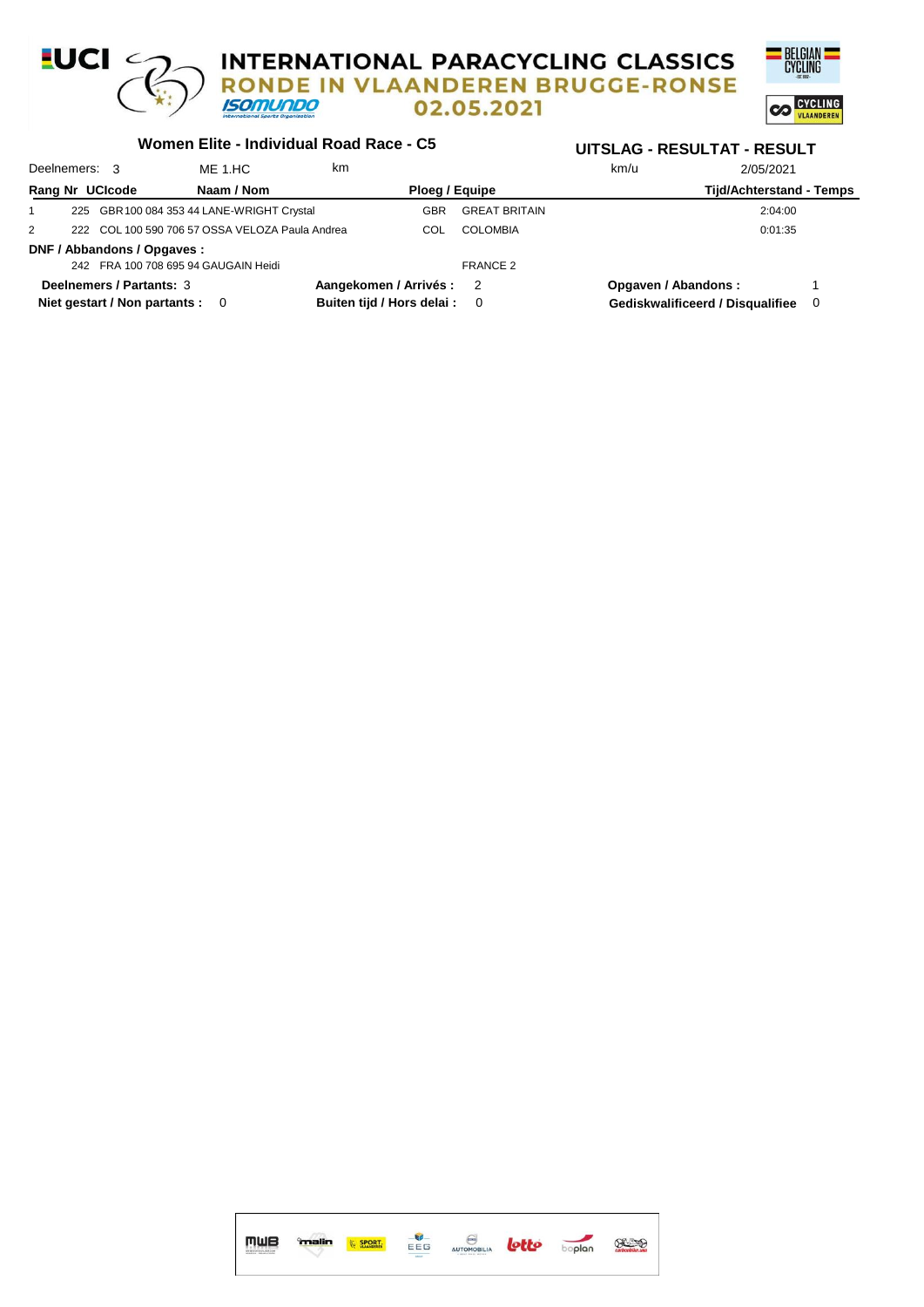#### $UCI \n\subset$ **INTERNATIONAL PARACYCLING CLASSICS** IN VLAANDEREN BRUGGE-RONSE **ISOMUNDO** 02.05.2021 **CO CYCLING**

#### **Women Elite - Individual Road Race - C5**

| Deelnemers: 3   |                                 | ME 1.HC                                         | km                         |            |                      | km/u                | 2/05/2021                        |     |
|-----------------|---------------------------------|-------------------------------------------------|----------------------------|------------|----------------------|---------------------|----------------------------------|-----|
| Rang Nr UCIcode |                                 | Naam / Nom                                      |                            |            | Ploeg / Equipe       |                     | <b>Tijd/Achterstand - Temps</b>  |     |
|                 |                                 | 225 GBR 100 084 353 44 LANE-WRIGHT Crystal      |                            | GBR        | <b>GREAT BRITAIN</b> |                     | 2:04:00                          |     |
| 2               |                                 | 222 COL 100 590 706 57 OSSA VELOZA Paula Andrea |                            | <b>COL</b> | COLOMBIA             |                     | 0:01:35                          |     |
|                 | DNF / Abbandons / Opgaves :     |                                                 |                            |            |                      |                     |                                  |     |
|                 |                                 | 242 FRA 100 708 695 94 GAUGAIN Heidi            |                            |            | FRANCE 2             |                     |                                  |     |
|                 | Deelnemers / Partants: 3        |                                                 | Aangekomen / Arrivés: 2    |            |                      | Opgaven / Abandons: |                                  |     |
|                 | Niet gestart / Non partants : 0 |                                                 | Buiten tijd / Hors delai : |            | - 0                  |                     | Gediskwalificeerd / Disqualifiee | - 0 |

| MWB | malin | SPORT. | EEG | AUTOMOBILIA | lotto | <b>Soplan</b> | $\sum_{\text{cubic}}$ |
|-----|-------|--------|-----|-------------|-------|---------------|-----------------------|
|     |       |        |     |             |       |               |                       |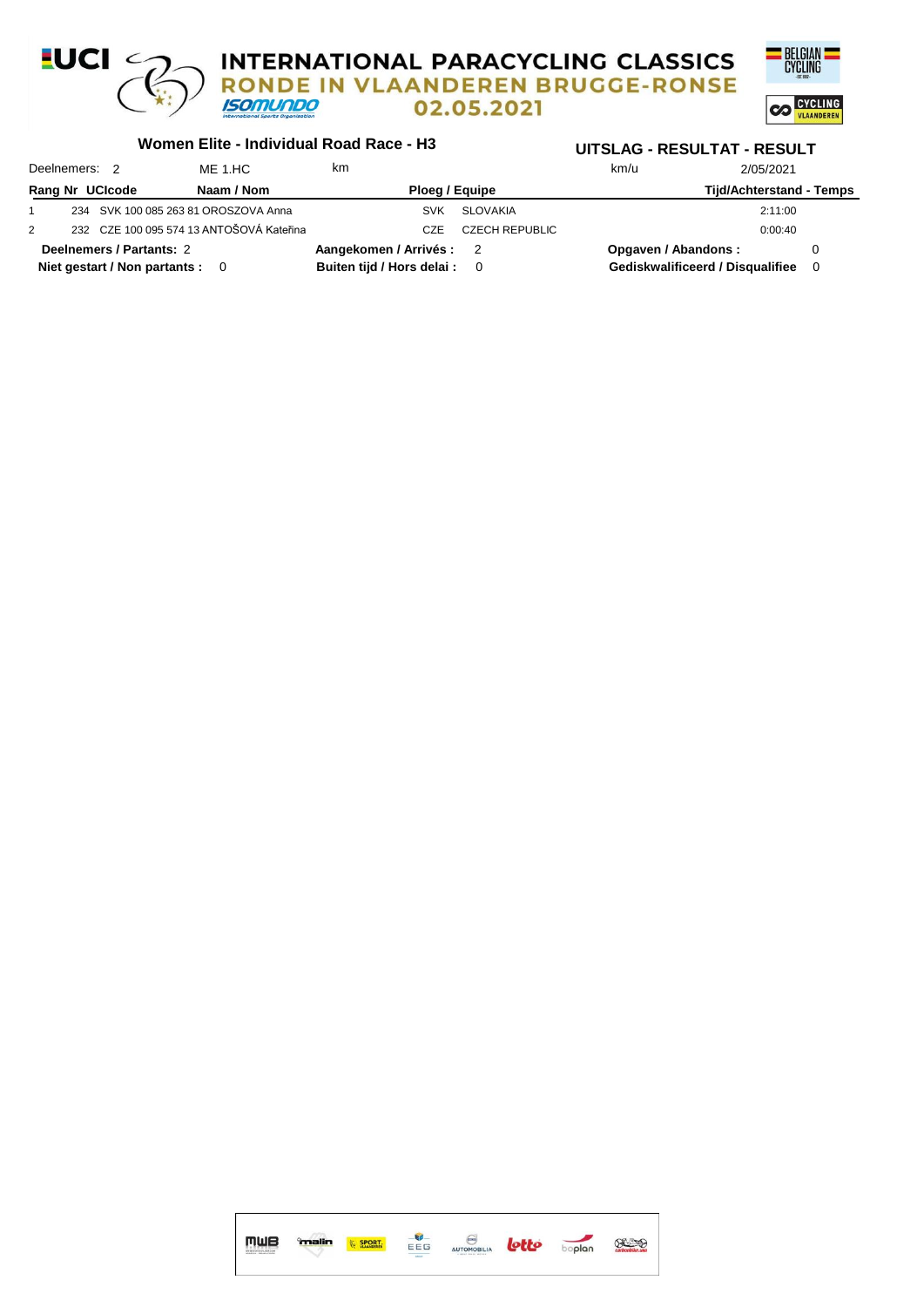#### **EUCI**  $\epsilon$ **INTERNATIONAL PARACYCLING CLASSICS** RONDE IN VLAANDEREN BRUGGE-RONSE **ISOMUNDO CO CYCLING** 02.05.2021

#### **Women Elite - Individual Road Race - H3**

|                                 | Deelnemers: 2 |                          | ME 1.HC                                  | km                           |                       | km/u | 2/05/2021                        |     |
|---------------------------------|---------------|--------------------------|------------------------------------------|------------------------------|-----------------------|------|----------------------------------|-----|
| Naam / Nom<br>Rang Nr UCIcode   |               | Ploeg / Equipe           |                                          | Tijd/Achterstand - Temps     |                       |      |                                  |     |
|                                 |               |                          | 234 SVK 100 085 263 81 OROSZOVA Anna     | SVK                          | SLOVAKIA              |      | 2:11:00                          |     |
| 2                               |               |                          | 232 CZE 100 095 574 13 ANTOŠOVÁ Kateřina | CZE                          | <b>CZECH REPUBLIC</b> |      | 0:00:40                          |     |
| Deelnemers / Partants: 2        |               | Aangekomen / Arrivés : 2 |                                          | Opgaven / Abandons :         |                       |      |                                  |     |
| Niet gestart / Non partants : 0 |               |                          |                                          | Buiten tijd / Hors delai : 0 |                       |      | Gediskwalificeerd / Disqualifiee | - 0 |

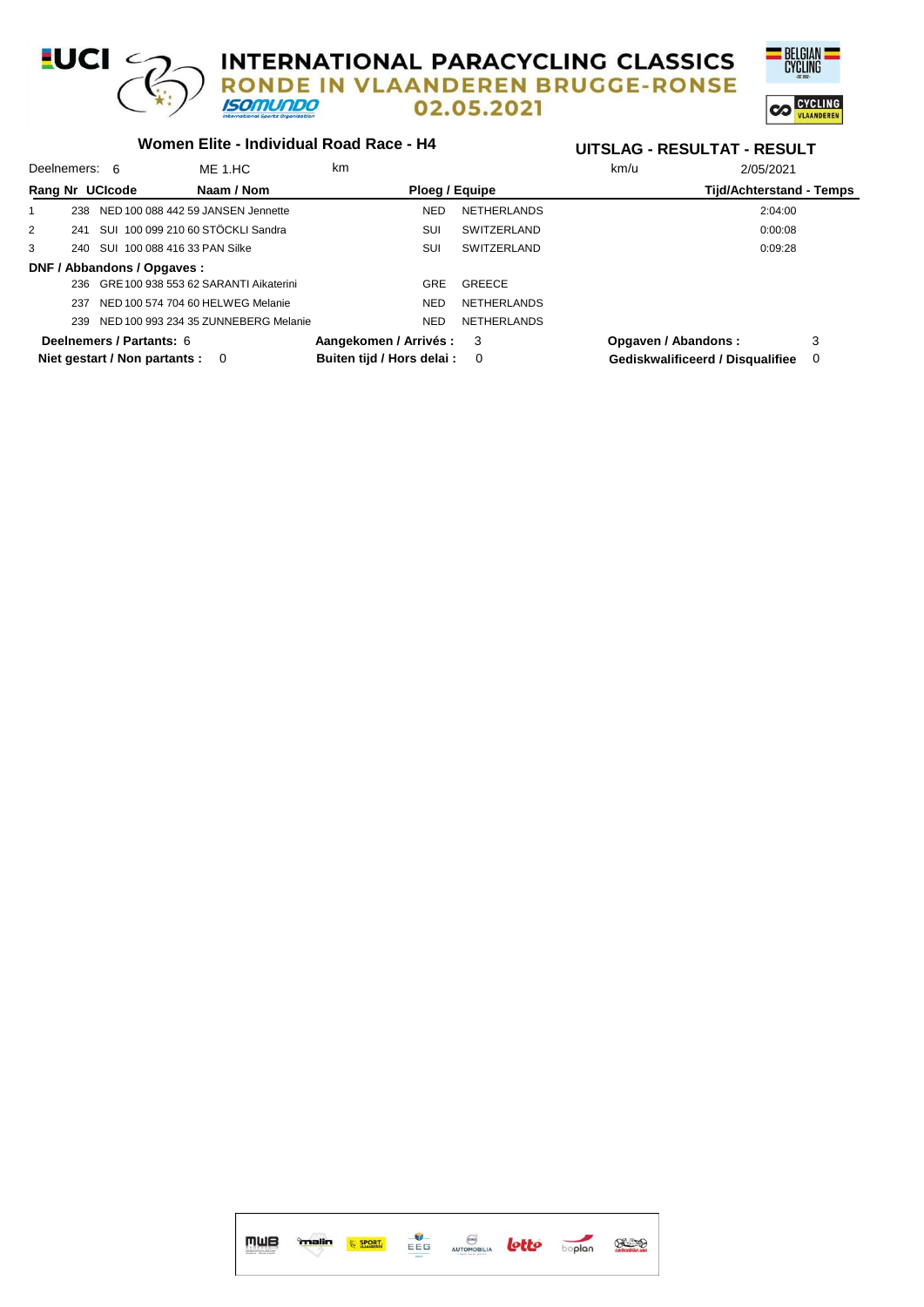#### **EUCI**  $\epsilon$ **INTERNATIONAL PARACYCLING CLASSICS RONDE IN VLAANDEREN BRUGGE-RONSE ISOMUNDO** 02.05.2021

**Women Elite - Individual Road Race - H4**



| Deelnemers: 6                                            |  | ME 1.HC                                   | km                         |                    | km/u                | 2/05/2021                        |          |
|----------------------------------------------------------|--|-------------------------------------------|----------------------------|--------------------|---------------------|----------------------------------|----------|
| Rang Nr UCIcode                                          |  | Naam / Nom                                | Ploeg / Equipe             |                    |                     | <b>Tijd/Achterstand - Temps</b>  |          |
| 238                                                      |  | NED 100 088 442 59 JANSEN Jennette        | NED.                       | <b>NETHERLANDS</b> |                     | 2:04:00                          |          |
| 2                                                        |  | 241 SUI 100 099 210 60 STÖCKLI Sandra     | SUI                        | SWITZERLAND        |                     | 0:00:08                          |          |
| 3                                                        |  | 240 SUI 100 088 416 33 PAN Silke          | SUI                        | SWITZERLAND        |                     | 0:09:28                          |          |
|                                                          |  | DNF / Abbandons / Opgaves :               |                            |                    |                     |                                  |          |
|                                                          |  | 236 GRE 100 938 553 62 SARANTI Aikaterini | GRE                        | GREECE             |                     |                                  |          |
| 237                                                      |  | NED 100 574 704 60 HELWEG Melanie         | <b>NED</b>                 | <b>NETHERLANDS</b> |                     |                                  |          |
| 239                                                      |  | NED 100 993 234 35 ZUNNEBERG Melanie      | NED.                       | <b>NETHERLANDS</b> |                     |                                  |          |
| Deelnemers / Partants: 6                                 |  |                                           | Aangekomen / Arrivés :     | -3                 | Opgaven / Abandons: |                                  | 3        |
| Niet gestart / Non partants :<br>$\overline{\mathbf{0}}$ |  |                                           | Buiten tijd / Hors delai : | 0                  |                     | Gediskwalificeerd / Disqualifiee | $\Omega$ |

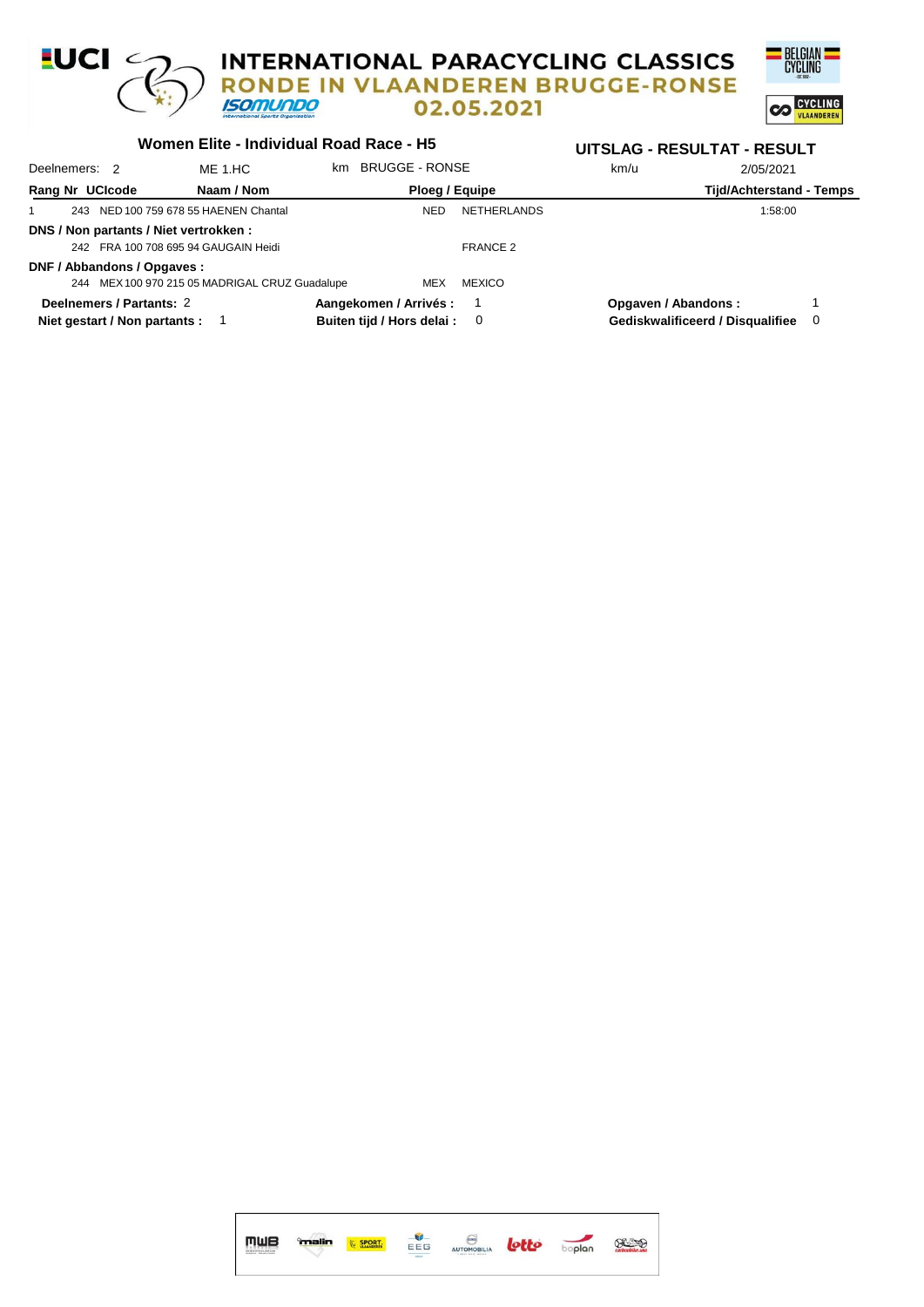#### **LUCI**  $\epsilon$ **INTERNATIONAL PARACYCLING CLASSICS** RONDE IN VLAANDEREN BRUGGE-RONSE **ISOMUNDO** 02.05.2021



|                                        | Women Elite - Individual Road Race - H5        | UITSLAG - RESULTAT - RESULT |                    |                                  |                          |
|----------------------------------------|------------------------------------------------|-----------------------------|--------------------|----------------------------------|--------------------------|
| Deelnemers: 2                          | ME 1.HC                                        | BRUGGE - RONSE<br>km.       |                    | km/u                             | 2/05/2021                |
| Rang Nr UCIcode                        | Naam / Nom                                     | Ploeg / Equipe              |                    |                                  | Tijd/Achterstand - Temps |
| 243                                    | NED 100 759 678 55 HAENEN Chantal              | NED.                        | <b>NETHERLANDS</b> |                                  | 1:58:00                  |
| DNS / Non partants / Niet vertrokken : |                                                |                             |                    |                                  |                          |
|                                        | 242 FRA 100 708 695 94 GAUGAIN Heidi           |                             | FRANCE 2           |                                  |                          |
| DNF / Abbandons / Opgaves :            |                                                |                             |                    |                                  |                          |
|                                        | 244 MEX 100 970 215 05 MADRIGAL CRUZ Guadalupe | MEX                         | <b>MEXICO</b>      |                                  |                          |
| Deelnemers / Partants: 2               |                                                | Aangekomen / Arrivés :      |                    | Opgaven / Abandons:              |                          |
| Niet gestart / Non partants : 1        |                                                | Buiten tijd / Hors delai :  | 0                  | Gediskwalificeerd / Disqualifiee | 0                        |

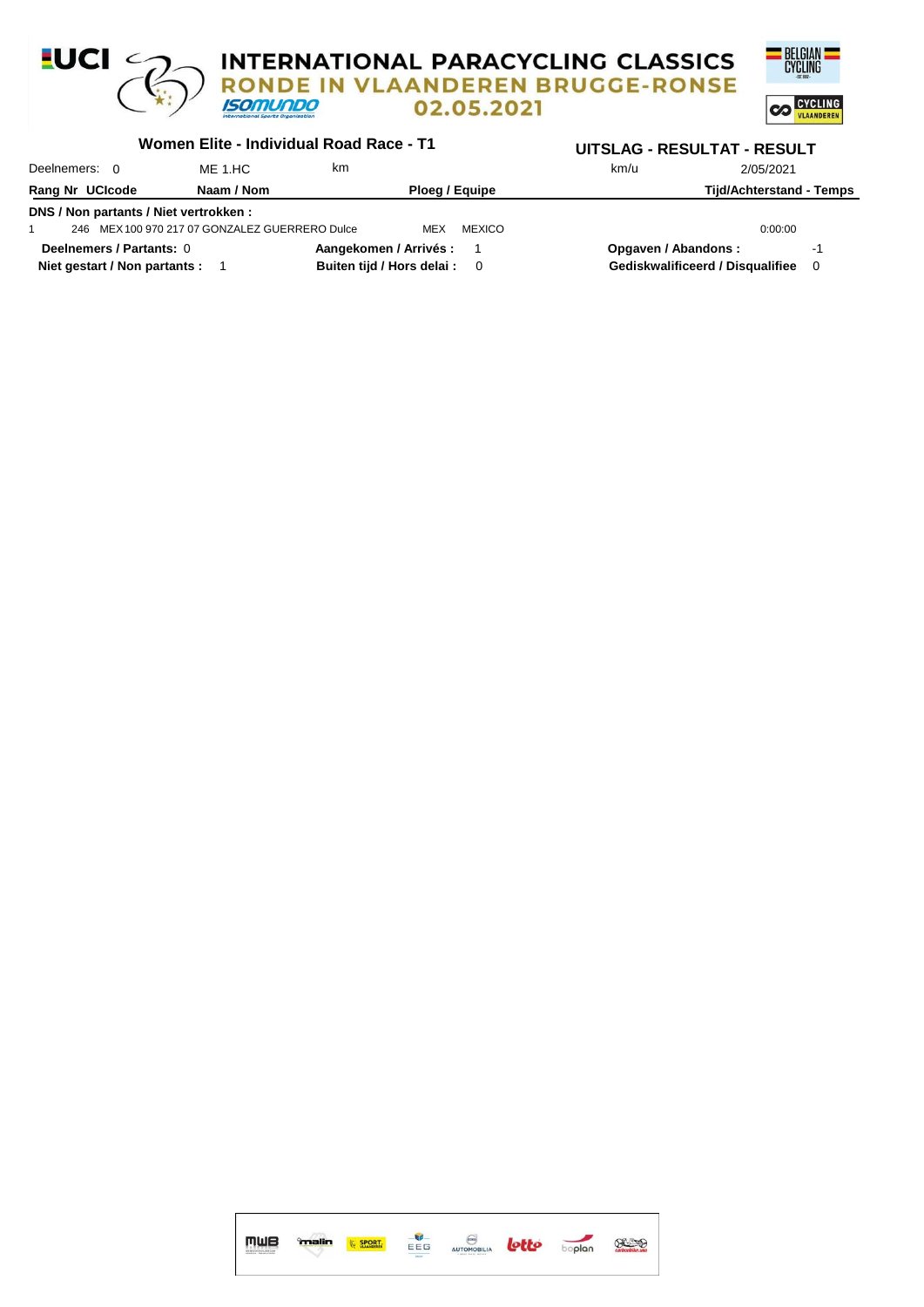#### **EUCI**  $\epsilon$ **INTERNATIONAL PARACYCLING CLASSICS** IN VLAANDEREN BRUGGE-RONSE **ROND ISOMUNDO** 02.05.2021

# **CO** CYCLING

# **Women Elite - Individual Road Race - T1**

| Deelnemers: 0                         | ME 1.HC                                        | km |                              | km/u | 2/05/2021                        |   |
|---------------------------------------|------------------------------------------------|----|------------------------------|------|----------------------------------|---|
| Rang Nr UCIcode                       | Naam / Nom                                     |    | Ploeg / Equipe               |      | Tijd/Achterstand - Temps         |   |
| DNS / Non partants / Niet vertrokken: |                                                |    |                              |      |                                  |   |
|                                       | 246 MEX 100 970 217 07 GONZALEZ GUERRERO Dulce |    | MEXICO<br>MEX                |      | 0:00:00                          |   |
| <b>Deelnemers / Partants: 0</b>       |                                                |    | Aangekomen / Arrivés :       |      | Opgaven / Abandons:              |   |
| Niet gestart / Non partants :         |                                                |    | Buiten tijd / Hors delai : 0 |      | Gediskwalificeerd / Disqualifiee | 0 |